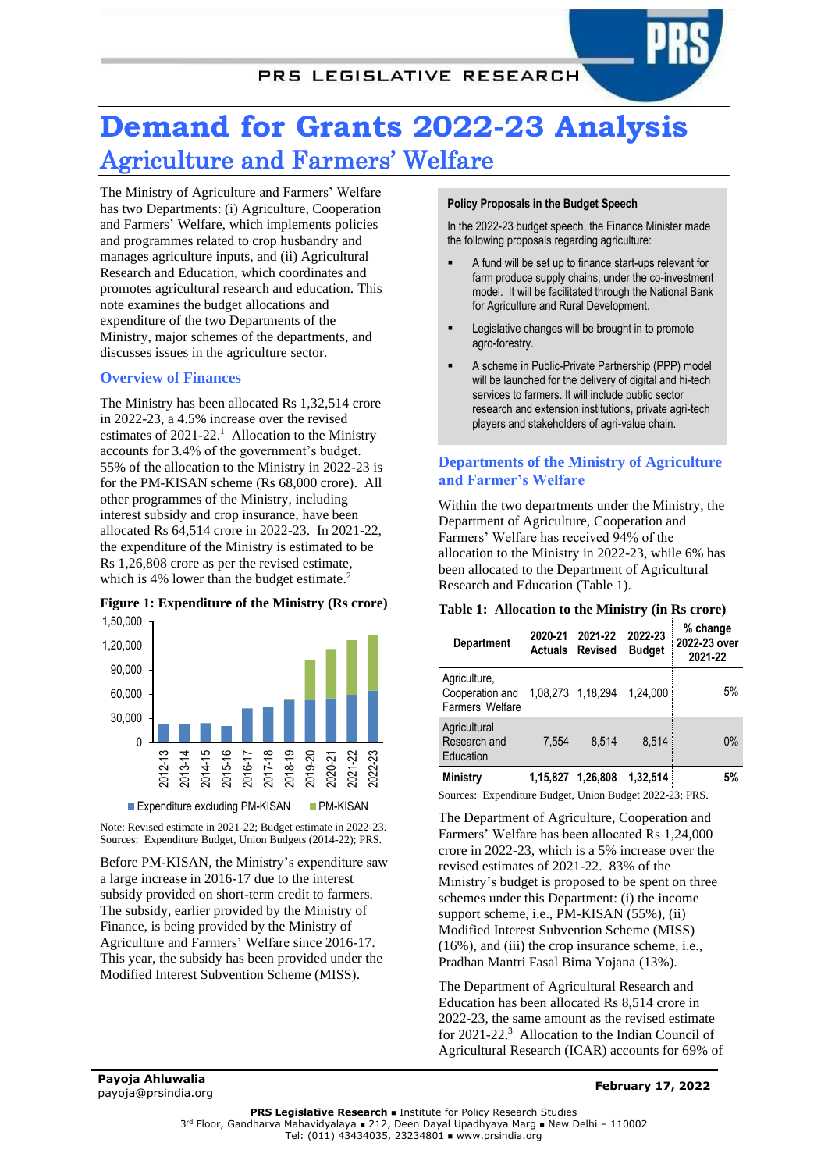# **Demand for Grants 2022-23 Analysis** Agriculture and Farmers' Welfare

The Ministry of Agriculture and Farmers' Welfare has two Departments: (i) Agriculture, Cooperation and Farmers' Welfare, which implements policies and programmes related to crop husbandry and manages agriculture inputs, and (ii) Agricultural Research and Education, which coordinates and promotes agricultural research and education. This note examines the budget allocations and expenditure of the two Departments of the Ministry, major schemes of the departments, and discusses issues in the agriculture sector.

## **Overview of Finances**

The Ministry has been allocated Rs 1,32,514 crore in 2022-23, a 4.5% increase over the revised estimates of 2021-22.<sup>1</sup> Allocation to the Ministry accounts for 3.4% of the government's budget. 55% of the allocation to the Ministry in 2022-23 is for the PM-KISAN scheme (Rs 68,000 crore). All other programmes of the Ministry, including interest subsidy and crop insurance, have been allocated Rs 64,514 crore in 2022-23. In 2021-22, the expenditure of the Ministry is estimated to be Rs 1,26,808 crore as per the revised estimate, which is 4% lower than the budget estimate.<sup>2</sup>

#### **Figure 1: Expenditure of the Ministry (Rs crore)** 1,50,000



Note: Revised estimate in 2021-22; Budget estimate in 2022-23. Sources: Expenditure Budget, Union Budgets (2014-22); PRS.

Before PM-KISAN, the Ministry's expenditure saw a large increase in 2016-17 due to the interest subsidy provided on short-term credit to farmers. The subsidy, earlier provided by the Ministry of Finance, is being provided by the Ministry of Agriculture and Farmers' Welfare since 2016-17. This year, the subsidy has been provided under the Modified Interest Subvention Scheme (MISS).

#### **Policy Proposals in the Budget Speech**

In the 2022-23 budget speech, the Finance Minister made the following proposals regarding agriculture:

- A fund will be set up to finance start-ups relevant for farm produce supply chains, under the co-investment model. It will be facilitated through the National Bank for Agriculture and Rural Development.
- Legislative changes will be brought in to promote agro-forestry.
- A scheme in Public-Private Partnership (PPP) model will be launched for the delivery of digital and hi-tech services to farmers. It will include public sector research and extension institutions, private agri-tech players and stakeholders of agri-value chain.

## **Departments of the Ministry of Agriculture and Farmer's Welfare**

Within the two departments under the Ministry, the Department of Agriculture, Cooperation and Farmers' Welfare has received 94% of the allocation to the Ministry in 2022-23, while 6% has been allocated to the Department of Agricultural Research and Education (Table 1).

#### **Table 1: Allocation to the Ministry (in Rs crore)**

| <b>Department</b>                                   | 2020-21  | 2021-22<br><b>Actuals Revised</b> | 2022-23<br><b>Budget</b> | % change<br>2022-23 over<br>2021-22 |
|-----------------------------------------------------|----------|-----------------------------------|--------------------------|-------------------------------------|
| Agriculture,<br>Cooperation and<br>Farmers' Welfare |          | 1.08.273 1.18.294                 | 1.24.000                 | 5%                                  |
| Agricultural<br>Research and<br>Education           | 7.554    | 8.514                             | 8.514                    | $0\%$                               |
| Ministry                                            | 1,15,827 | 1.26.808                          | 1,32,514                 |                                     |

Sources: Expenditure Budget, Union Budget 2022-23; PRS.

The Department of Agriculture, Cooperation and Farmers' Welfare has been allocated Rs 1,24,000 crore in 2022-23, which is a 5% increase over the revised estimates of 2021-22. 83% of the Ministry's budget is proposed to be spent on three schemes under this Department: (i) the income support scheme, i.e., PM-KISAN (55%), (ii) Modified Interest Subvention Scheme (MISS) (16%), and (iii) the crop insurance scheme, i.e., Pradhan Mantri Fasal Bima Yojana (13%).

The Department of Agricultural Research and Education has been allocated Rs 8,514 crore in 2022-23, the same amount as the revised estimate for 2021-22. 3 Allocation to the Indian Council of Agricultural Research (ICAR) accounts for 69% of

**Payoja Ahluwalia** payoja@prsindia.org **February 17, 2022**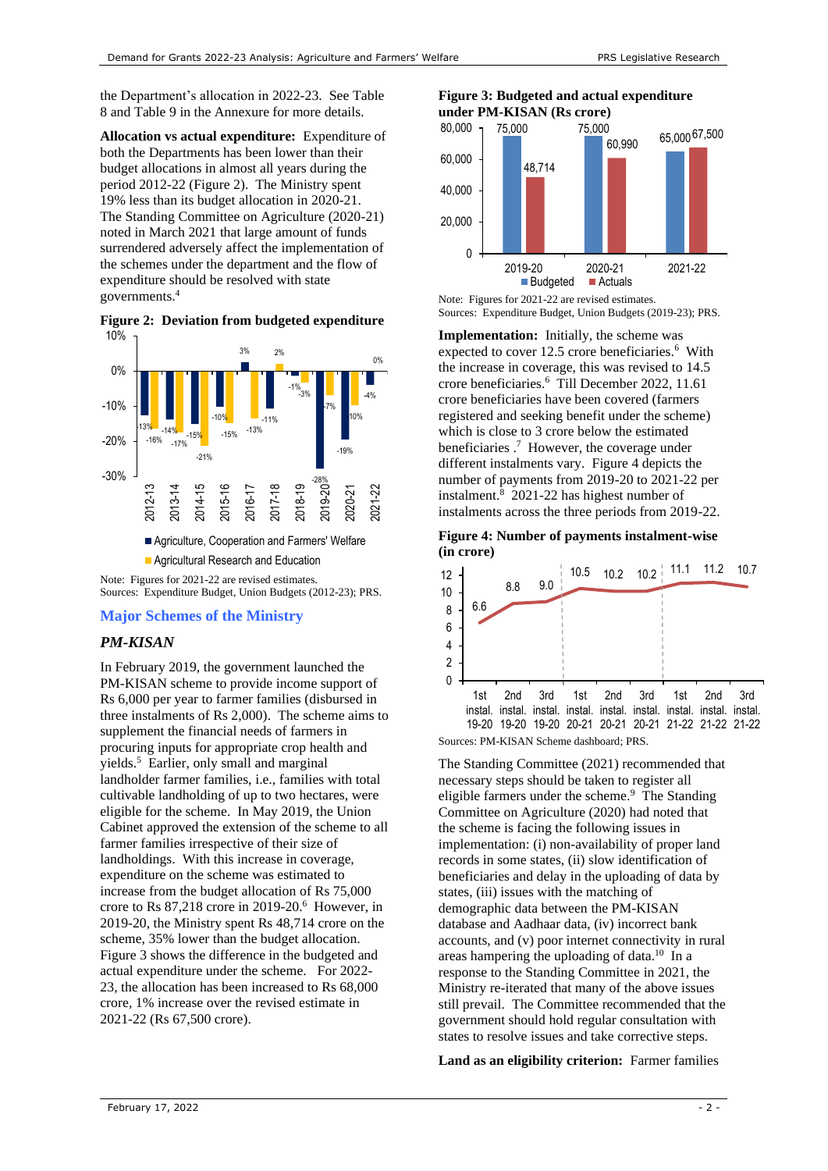the Department's allocation in 2022-23. Se[e Table](#page-11-0)  [8](#page-11-0) an[d Table 9](#page-11-1) in the Annexure for more details.

**Allocation vs actual expenditure:** Expenditure of both the Departments has been lower than their budget allocations in almost all years during the period 2012-22 [\(Figure 2\)](#page-1-0). The Ministry spent 19% less than its budget allocation in 2020-21. The Standing Committee on Agriculture (2020-21) noted in March 2021 that large amount of funds surrendered adversely affect the implementation of the schemes under the department and the flow of expenditure should be resolved with state governments.<sup>4</sup>

<span id="page-1-0"></span>**Figure 2: Deviation from budgeted expenditure** 10%



Sources: Expenditure Budget, Union Budgets (2012-23); PRS.

## **Major Schemes of the Ministry**

#### *PM-KISAN*

In February 2019, the government launched the PM-KISAN scheme to provide income support of Rs 6,000 per year to farmer families (disbursed in three instalments of Rs 2,000). The scheme aims to supplement the financial needs of farmers in procuring inputs for appropriate crop health and yields.<sup>5</sup> Earlier, only small and marginal landholder farmer families, i.e., families with total cultivable landholding of up to two hectares, were eligible for the scheme. In May 2019, the Union Cabinet approved the extension of the scheme to all farmer families irrespective of their size of landholdings. With this increase in coverage, expenditure on the scheme was estimated to increase from the budget allocation of Rs 75,000 crore to Rs 87,218 crore in 2019-20. 6 However, in 2019-20, the Ministry spent Rs 48,714 crore on the scheme, 35% lower than the budget allocation. [Figure 3](#page-1-1) shows the difference in the budgeted and actual expenditure under the scheme. For 2022- 23, the allocation has been increased to Rs 68,000 crore, 1% increase over the revised estimate in 2021-22 (Rs 67,500 crore).

## <span id="page-1-1"></span>**Figure 3: Budgeted and actual expenditure under PM-KISAN (Rs crore)**



Note: Figures for 2021-22 are revised estimates. Sources: Expenditure Budget, Union Budgets (2019-23); PRS.

**Implementation:** Initially, the scheme was expected to cover 12.5 crore beneficiaries.<sup>[6](#page-1-2)</sup> With the increase in coverage, this was revised to 14.5 crore beneficiaries. [6](#page-1-2) Till December 2022, 11.61 crore beneficiaries have been covered (farmers registered and seeking benefit under the scheme) which is close to 3 crore below the estimated beneficiaries . 7 However, the coverage under different instalments vary. [Figure 4](#page-1-3) depicts the number of payments from 2019-20 to 2021-22 per instalment. 8 2021-22 has highest number of instalments across the three periods from 2019-22.

<span id="page-1-3"></span>**Figure 4: Number of payments instalment-wise (in crore)**



<span id="page-1-5"></span><span id="page-1-2"></span>The Standing Committee (2021) recommended that necessary steps should be taken to register all eligible farmers under the scheme.<sup>9</sup> The Standing Committee on Agriculture (2020) had noted that the scheme is facing the following issues in implementation: (i) non-availability of proper land records in some states, (ii) slow identification of beneficiaries and delay in the uploading of data by states, (iii) issues with the matching of demographic data between the PM-KISAN database and Aadhaar data, (iv) incorrect bank accounts, and (v) poor internet connectivity in rural areas hampering the uploading of data.<sup>10</sup> In a response to the Standing Committee in 2021, the Ministry re-iterated that many of the above issues still prevail. The Committee recommended that the government should hold regular consultation with states to resolve issues and take corrective steps.

<span id="page-1-4"></span>**Land as an eligibility criterion:** Farmer families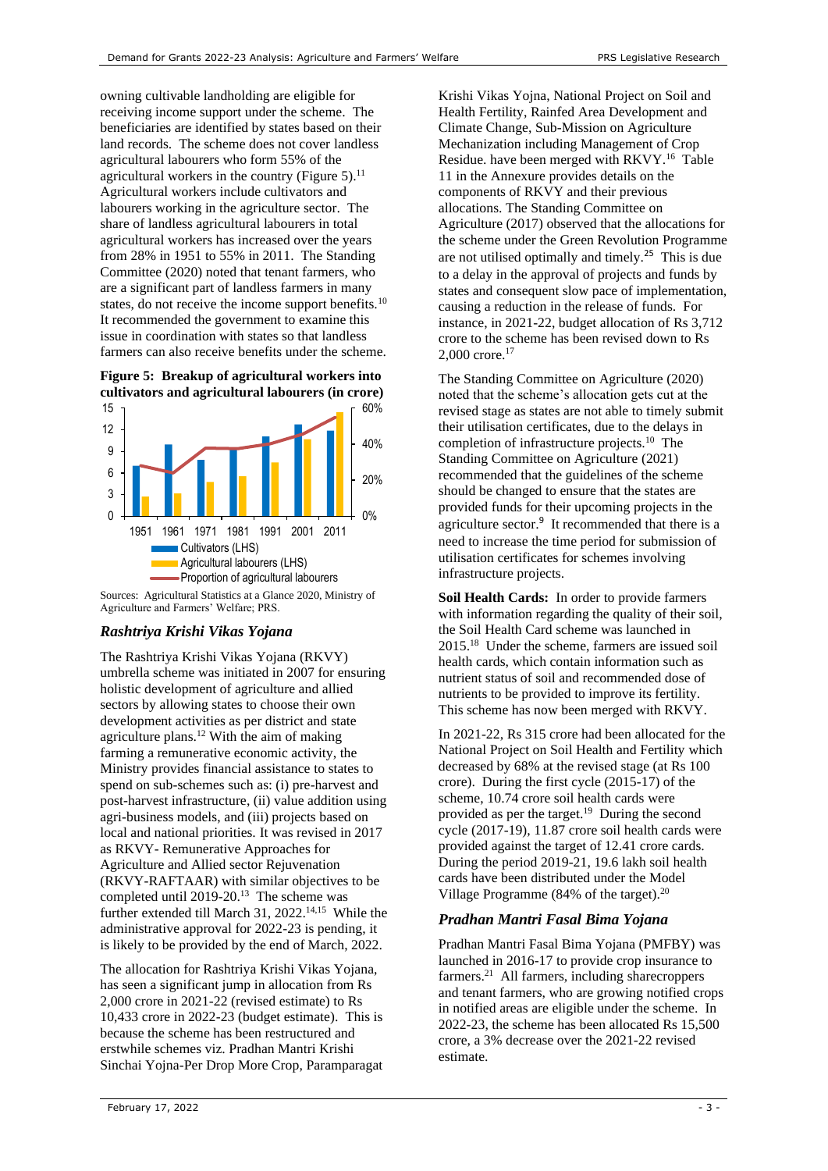owning cultivable landholding are eligible for receiving income support under the scheme. The beneficiaries are identified by states based on their land records. The scheme does not cover landless agricultural labourers who form 55% of the agricultural workers in the country [\(Figure 5\)](#page-2-0).<sup>11</sup> Agricultural workers include cultivators and labourers working in the agriculture sector. The share of landless agricultural labourers in total agricultural workers has increased over the years from 28% in 1951 to 55% in 2011. The Standing Committee (2020) noted that tenant farmers, who are a significant part of landless farmers in many states, do not receive the income support benefits.<sup>[10](#page-1-4)</sup> It recommended the government to examine this issue in coordination with states so that landless farmers can also receive benefits under the scheme.

<span id="page-2-0"></span>



Sources: Agricultural Statistics at a Glance 2020, Ministry of Agriculture and Farmers' Welfare; PRS.

## *Rashtriya Krishi Vikas Yojana*

The Rashtriya Krishi Vikas Yojana (RKVY) umbrella scheme was initiated in 2007 for ensuring holistic development of agriculture and allied sectors by allowing states to choose their own development activities as per district and state agriculture plans. <sup>12</sup> With the aim of making farming a remunerative economic activity, the Ministry provides financial assistance to states to spend on sub-schemes such as: (i) pre-harvest and post-harvest infrastructure, (ii) value addition using agri-business models, and (iii) projects based on local and national priorities. It was revised in 2017 as RKVY- Remunerative Approaches for Agriculture and Allied sector Rejuvenation (RKVY-RAFTAAR) with similar objectives to be completed until 2019-20.<sup>13</sup> The scheme was further extended till March 31, 2022.<sup>14,15</sup> While the administrative approval for 2022-23 is pending, it is likely to be provided by the end of March, 2022.

The allocation for Rashtriya Krishi Vikas Yojana, has seen a significant jump in allocation from Rs 2,000 crore in 2021-22 (revised estimate) to Rs 10,433 crore in 2022-23 (budget estimate). This is because the scheme has been restructured and erstwhile schemes viz. Pradhan Mantri Krishi Sinchai Yojna-Per Drop More Crop, Paramparagat Krishi Vikas Yojna, National Project on Soil and Health Fertility, Rainfed Area Development and Climate Change, Sub-Mission on Agriculture Mechanization including Management of Crop Residue. have been merged with RKVY. 16  [Table](#page-12-0)  [11](#page-12-0) in the Annexure provides details on the components of RKVY and their previous allocations. The Standing Committee on Agriculture (2017) observed that the allocations for the scheme under the Green Revolution Programme are not utilised optimally and timely.<sup>[25](#page-3-0)</sup> This is due to a delay in the approval of projects and funds by states and consequent slow pace of implementation, causing a reduction in the release of funds. For instance, in 2021-22, budget allocation of Rs 3,712 crore to the scheme has been revised down to Rs 2,000 crore. 17

The Standing Committee on Agriculture (2020) noted that the scheme's allocation gets cut at the revised stage as states are not able to timely submit their utilisation certificates, due to the delays in completion of infrastructure projects.[10](#page-1-4) The Standing Committee on Agriculture (2021) recommended that the guidelines of the scheme should be changed to ensure that the states are provided funds for their upcoming projects in the agriculture secto[r.](#page-1-5) 9 It recommended that there is a need to increase the time period for submission of utilisation certificates for schemes involving infrastructure projects.

**Soil Health Cards:** In order to provide farmers with information regarding the quality of their soil. the Soil Health Card scheme was launched in 2015. 18 Under the scheme, farmers are issued soil health cards, which contain information such as nutrient status of soil and recommended dose of nutrients to be provided to improve its fertility. This scheme has now been merged with RKVY.

In 2021-22, Rs 315 crore had been allocated for the National Project on Soil Health and Fertility which decreased by 68% at the revised stage (at Rs 100 crore). During the first cycle (2015-17) of the scheme, 10.74 crore soil health cards were provided as per the target.<sup>19</sup> During the second cycle (2017-19), 11.87 crore soil health cards were provided against the target of 12.41 crore cards. During the period 2019-21, 19.6 lakh soil health cards have been distributed under the Model Village Programme (84% of the target). $20$ 

# *Pradhan Mantri Fasal Bima Yojana*

Pradhan Mantri Fasal Bima Yojana (PMFBY) was launched in 2016-17 to provide crop insurance to farmers. 21 All farmers, including sharecroppers and tenant farmers, who are growing notified crops in notified areas are eligible under the scheme. In 2022-23, the scheme has been allocated Rs 15,500 crore, a 3% decrease over the 2021-22 revised estimate.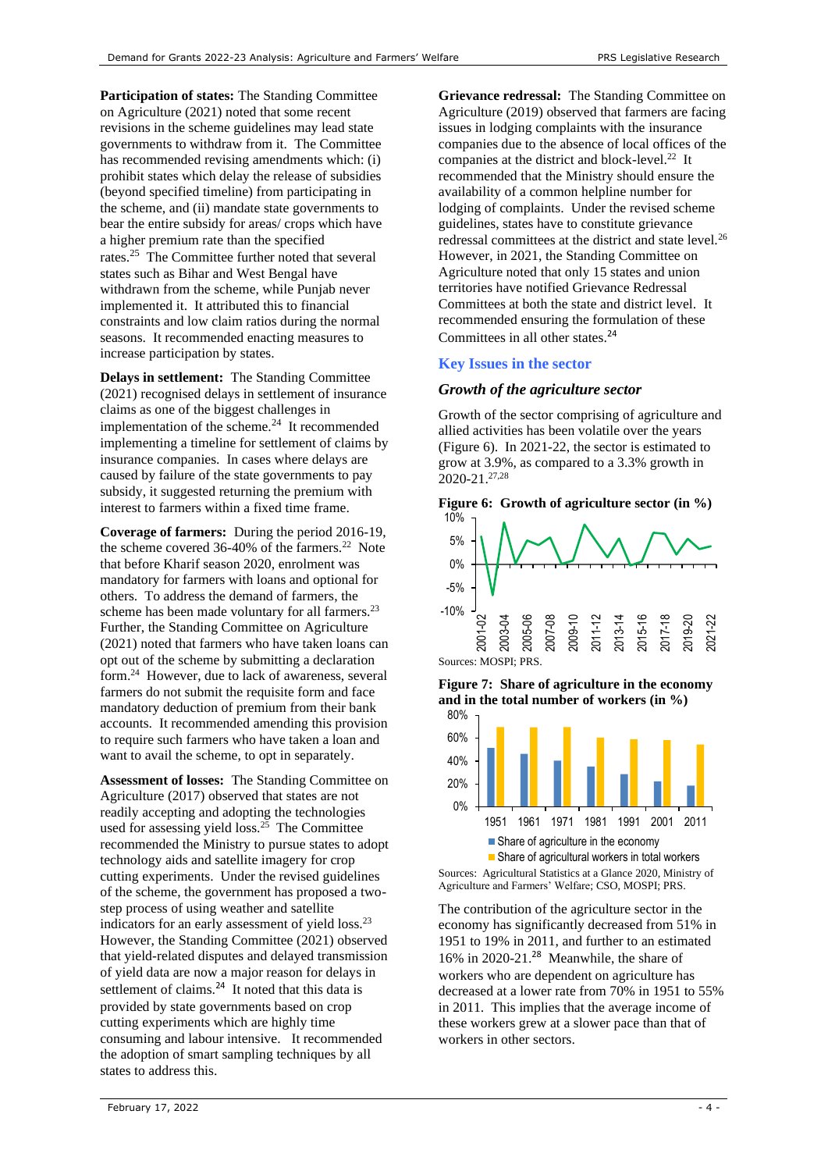**Participation of states:** The Standing Committee on Agriculture (2021) noted that some recent revisions in the scheme guidelines may lead state governments to withdraw from it. The Committee has recommended revising amendments which: (i) prohibit states which delay the release of subsidies (beyond specified timeline) from participating in the scheme, and (ii) mandate state governments to bear the entire subsidy for areas/ crops which have a higher premium rate than the specified rates.[25](#page-3-0) The Committee further noted that several states such as Bihar and West Bengal have withdrawn from the scheme, while Punjab never implemented it. It attributed this to financial constraints and low claim ratios during the normal seasons. It recommended enacting measures to increase participation by states.

**Delays in settlement:** The Standing Committee (2021) recognised delays in settlement of insurance claims as one of the biggest challenges in implementation of the scheme. $24$  It recommended implementing a timeline for settlement of claims by insurance companies. In cases where delays are caused by failure of the state governments to pay subsidy, it suggested returning the premium with interest to farmers within a fixed time frame.

**Coverage of farmers:** During the period 2016-19, the scheme covered 36-40% of the farmers.<sup>22</sup> Note that before Kharif season 2020, enrolment was mandatory for farmers with loans and optional for others. To address the demand of farmers, the scheme has been made voluntary for all farmers.<sup>23</sup> Further, the Standing Committee on Agriculture (2021) noted that farmers who have taken loans can opt out of the scheme by submitting a declaration form.<sup>24</sup> However, due to lack of awareness, several farmers do not submit the requisite form and face mandatory deduction of premium from their bank accounts. It recommended amending this provision to require such farmers who have taken a loan and want to avail the scheme, to opt in separately.

<span id="page-3-1"></span><span id="page-3-0"></span>**Assessment of losses:** The Standing Committee on Agriculture (2017) observed that states are not readily accepting and adopting the technologies used for assessing yield loss.<sup>25</sup> The Committee recommended the Ministry to pursue states to adopt technology aids and satellite imagery for crop cutting experiments. Under the revised guidelines of the scheme, the government has proposed a twostep process of using weather and satellite indicators for an early assessment of yield loss.<sup>[23](#page-3-2)</sup> However, the Standing Committee (2021) observed that yield-related disputes and delayed transmission of yield data are now a major reason for delays in settlement of claims. $^{24}$  $^{24}$  $^{24}$  It noted that this data is provided by state governments based on crop cutting experiments which are highly time consuming and labour intensive. It recommended the adoption of smart sampling techniques by all states to address this.

**Grievance redressal:** The Standing Committee on Agriculture (2019) observed that farmers are facing issues in lodging complaints with the insurance companies due to the absence of local offices of the companies at the district and block-level.<sup>[22](#page-3-3)</sup> It recommended that the Ministry should ensure the availability of a common helpline number for lodging of complaints. Under the revised scheme guidelines, states have to constitute grievance redressal committees at the district and state level.<sup>26</sup> However, in 2021, the Standing Committee on Agriculture noted that only 15 states and union territories have notified Grievance Redressal Committees at both the state and district level. It recommended ensuring the formulation of these Committees in all other states.<sup>[24](#page-3-1)</sup>

#### **Key Issues in the sector**

#### *Growth of the agriculture sector*

Growth of the sector comprising of agriculture and allied activities has been volatile over the years [\(Figure 6\)](#page-3-4). In 2021-22, the sector is estimated to grow at 3.9%, as compared to a 3.3% growth in 2020-21. 27,28

<span id="page-3-5"></span><span id="page-3-4"></span>

<span id="page-3-3"></span>

<span id="page-3-2"></span>**Figure 7: Share of agriculture in the economy and in the total number of workers (in %)**



Sources: Agricultural Statistics at a Glance 2020, Ministry of Agriculture and Farmers' Welfare; CSO, MOSPI; PRS.

The contribution of the agriculture sector in the economy has significantly decreased from 51% in 1951 to 19% in 2011, and further to an estimated 16% in 2020-21. [28](#page-3-5) Meanwhile, the share of workers who are dependent on agriculture has decreased at a lower rate from 70% in 1951 to 55% in 2011. This implies that the average income of these workers grew at a slower pace than that of workers in other sectors.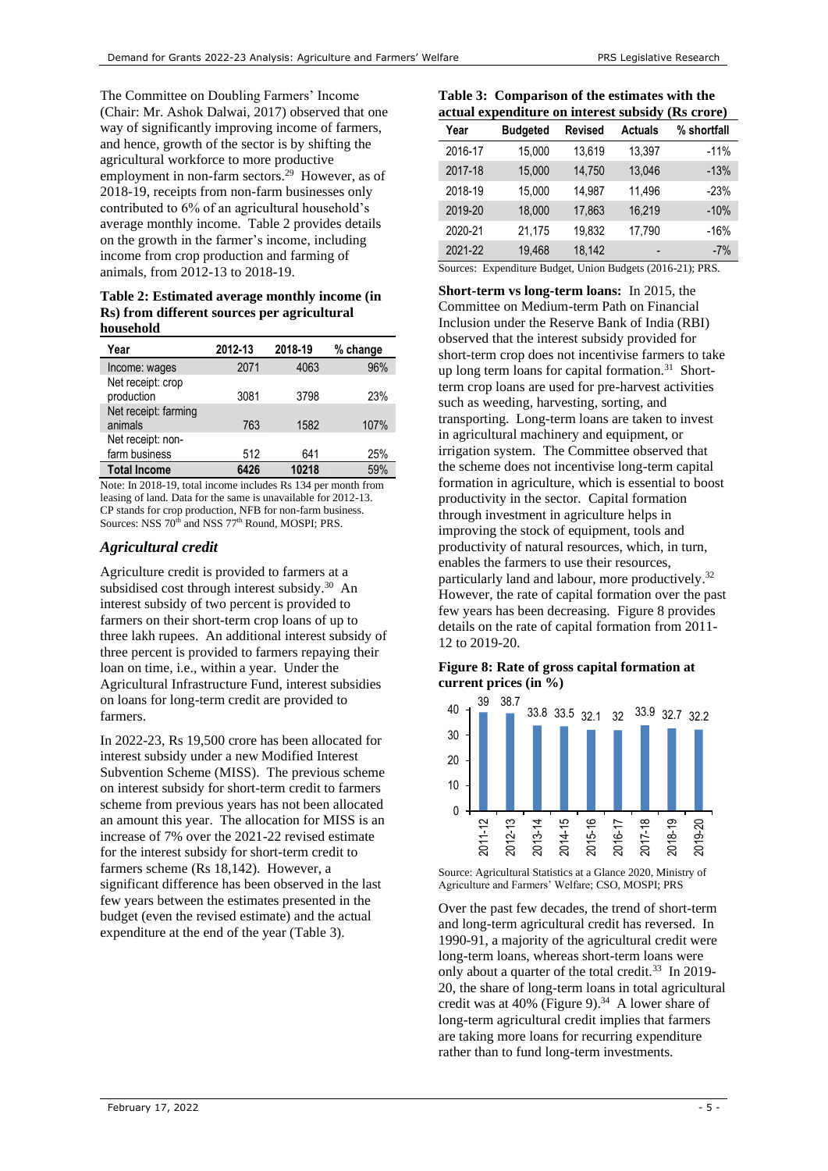The Committee on Doubling Farmers' Income (Chair: Mr. Ashok Dalwai, 2017) observed that one way of significantly improving income of farmers, and hence, growth of the sector is by shifting the agricultural workforce to more productive employment in non-farm sectors.<sup>29</sup> However, as of 2018-19, receipts from non-farm businesses only contributed to 6% of an agricultural household's average monthly income. [Table 2](#page-4-0) provides details on the growth in the farmer's income, including income from crop production and farming of animals, from 2012-13 to 2018-19.

<span id="page-4-0"></span>**Table 2: Estimated average monthly income (in Rs) from different sources per agricultural household** 

| Year                               | 2012-13 | 2018-19                        | % change |
|------------------------------------|---------|--------------------------------|----------|
| Income: wages                      | 2071    | 4063                           | 96%      |
| Net receipt: crop<br>production    | 3081    | 3798                           | 23%      |
| Net receipt: farming<br>animals    | 763     | 1582                           | 107%     |
| Net receipt: non-<br>farm business | 512     | 641                            | 25%      |
| <b>Total Income</b>                | 6426    | 10218                          | 59%      |
| $\cdots$ $\cdots$ $\cdots$         | .       | $\sim$ $\sim$ $\sim$<br>$\sim$ |          |

Note: In 2018-19, total income includes Rs 134 per month from leasing of land. Data for the same is unavailable for 2012-13. CP stands for crop production, NFB for non-farm business. Sources: NSS 70<sup>th</sup> and NSS 77<sup>th</sup> Round, MOSPI; PRS.

### *Agricultural credit*

Agriculture credit is provided to farmers at a subsidised cost through interest subsidy.<sup>30</sup> An interest subsidy of two percent is provided to farmers on their short-term crop loans of up to three lakh rupees. An additional interest subsidy of three percent is provided to farmers repaying their loan on time, i.e., within a year. Under the Agricultural Infrastructure Fund, interest subsidies on loans for long-term credit are provided to farmers.

In 2022-23, Rs 19,500 crore has been allocated for interest subsidy under a new Modified Interest Subvention Scheme (MISS). The previous scheme on interest subsidy for short-term credit to farmers scheme from previous years has not been allocated an amount this year. The allocation for MISS is an increase of 7% over the 2021-22 revised estimate for the interest subsidy for short-term credit to farmers scheme (Rs 18,142). However, a significant difference has been observed in the last few years between the estimates presented in the budget (even the revised estimate) and the actual expenditure at the end of the year [\(Table 3\)](#page-4-1).

<span id="page-4-1"></span>**Table 3: Comparison of the estimates with the actual expenditure on interest subsidy (Rs crore)**

| Year    | <b>Budgeted</b> | <b>Revised</b> | <b>Actuals</b>           | % shortfall |
|---------|-----------------|----------------|--------------------------|-------------|
| 2016-17 | 15,000          | 13,619         | 13,397                   | $-11%$      |
| 2017-18 | 15,000          | 14,750         | 13,046                   | $-13%$      |
| 2018-19 | 15,000          | 14,987         | 11,496                   | $-23%$      |
| 2019-20 | 18,000          | 17,863         | 16,219                   | $-10%$      |
| 2020-21 | 21,175          | 19,832         | 17,790                   | $-16%$      |
| 2021-22 | 19,468          | 18,142         | $\overline{\phantom{0}}$ | $-7%$       |

Sources: Expenditure Budget, Union Budgets (2016-21); PRS.

<span id="page-4-3"></span>**Short-term vs long-term loans:** In 2015, the Committee on Medium-term Path on Financial Inclusion under the Reserve Bank of India (RBI) observed that the interest subsidy provided for short-term crop does not incentivise farmers to take up long term loans for capital formation.<sup>31</sup> Shortterm crop loans are used for pre-harvest activities such as weeding, harvesting, sorting, and transporting. Long-term loans are taken to invest in agricultural machinery and equipment, or irrigation system. The Committee observed that the scheme does not incentivise long-term capital formation in agriculture, which is essential to boost productivity in the sector. Capital formation through investment in agriculture helps in improving the stock of equipment, tools and productivity of natural resources, which, in turn, enables the farmers to use their resources, particularly land and labour, more productively.<sup>32</sup> However, the rate of capital formation over the past few years has been decreasing. [Figure 8](#page-4-2) provides details on the rate of capital formation from 2011- 12 to 2019-20.

#### <span id="page-4-2"></span>**Figure 8: Rate of gross capital formation at current prices (in %)**



Source: Agricultural Statistics at a Glance 2020, Ministry of Agriculture and Farmers' Welfare; CSO, MOSPI; PRS

Over the past few decades, the trend of short-term and long-term agricultural credit has reversed. In 1990-91, a majority of the agricultural credit were long-term loans, whereas short-term loans were only about a quarter of the total credit.<sup>33</sup> In 2019-20, the share of long-term loans in total agricultural credit was at 40% [\(Figure 9\)](#page-5-0). $34$  A lower share of long-term agricultural credit implies that farmers are taking more loans for recurring expenditure rather than to fund long-term investments.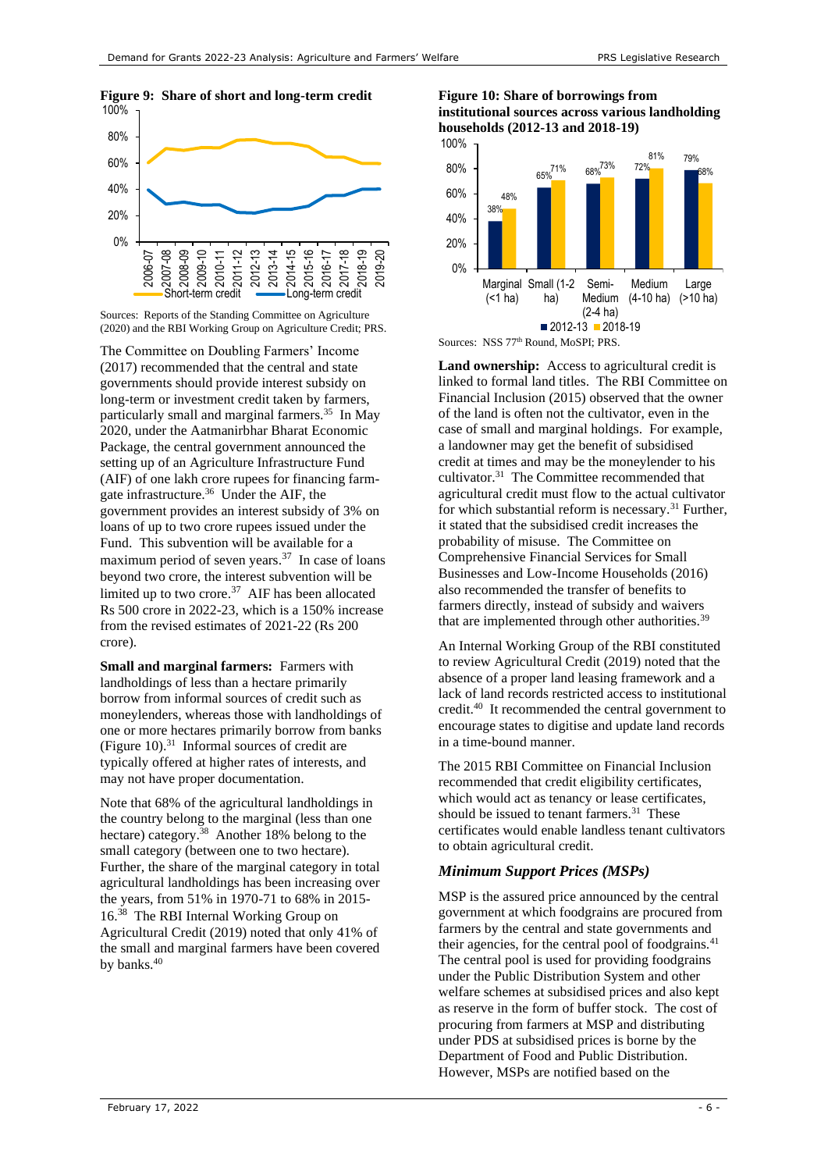<span id="page-5-0"></span>



The Committee on Doubling Farmers' Income (2017) recommended that the central and state governments should provide interest subsidy on long-term or investment credit taken by farmers, particularly small and marginal farmers.<sup>35</sup> In May 2020, under the Aatmanirbhar Bharat Economic Package, the central government announced the setting up of an Agriculture Infrastructure Fund (AIF) of one lakh crore rupees for financing farmgate infrastructure.<sup>36</sup> Under the AIF, the government provides an interest subsidy of 3% on loans of up to two crore rupees issued under the Fund. This subvention will be available for a maximum period of seven years.<sup>37</sup> In case of loans beyond two crore, the interest subvention will be limited up to two crore.<sup>[37](#page-5-1)</sup> AIF has been allocated Rs 500 crore in 2022-23, which is a 150% increase from the revised estimates of 2021-22 (Rs 200 crore).

**Small and marginal farmers:** Farmers with landholdings of less than a hectare primarily borrow from informal sources of credit such as moneylenders, whereas those with landholdings of one or more hectares primarily borrow from banks [\(Figure 10\)](#page-5-2).[31](#page-4-3) Informal sources of credit are typically offered at higher rates of interests, and may not have proper documentation.

<span id="page-5-3"></span>Note that 68% of the agricultural landholdings in the country belong to the marginal (less than one hectare) category.<sup>38</sup> Another 18% belong to the small category (between one to two hectare). Further, the share of the marginal category in total agricultural landholdings has been increasing over the years, from 51% in 1970-71 to 68% in 2015- 16.[38](#page-5-3) The RBI Internal Working Group on Agricultural Credit (2019) noted that only 41% of the small and marginal farmers have been covered by banks.<sup>[40](#page-5-4)</sup>

## <span id="page-5-2"></span>**Figure 10: Share of borrowings from institutional sources across various landholding households (2012-13 and 2018-19)**



**Land ownership:** Access to agricultural credit is linked to formal land titles. The RBI Committee on Financial Inclusion (2015) observed that the owner of the land is often not the cultivator, even in the case of small and marginal holdings. For example, a landowner may get the benefit of subsidised credit at times and may be the moneylender to his cultivator.<sup>[31](#page-4-3)</sup> The Committee recommended that agricultural credit must flow to the actual cultivator for which substantial reform is necessary.<sup>[31](#page-4-3)</sup> Further, it stated that the subsidised credit increases the probability of misuse. The Committee on Comprehensive Financial Services for Small Businesses and Low-Income Households (2016) also recommended the transfer of benefits to farmers directly, instead of subsidy and waivers that are implemented through other authorities.<sup>39</sup>

<span id="page-5-1"></span>An Internal Working Group of the RBI constituted to review Agricultural Credit (2019) noted that the absence of a proper land leasing framework and a lack of land records restricted access to institutional credit.<sup>40</sup> It recommended the central government to encourage states to digitise and update land records in a time-bound manner.

<span id="page-5-4"></span>The 2015 RBI Committee on Financial Inclusion recommended that credit eligibility certificates, which would act as tenancy or lease certificates, should be issued to tenant farmers.<sup>[31](#page-4-3)</sup> These certificates would enable landless tenant cultivators to obtain agricultural credit.

## *Minimum Support Prices (MSPs)*

MSP is the assured price announced by the central government at which foodgrains are procured from farmers by the central and state governments and their agencies, for the central pool of foodgrains.<sup>41</sup> The central pool is used for providing foodgrains under the Public Distribution System and other welfare schemes at subsidised prices and also kept as reserve in the form of buffer stock. The cost of procuring from farmers at MSP and distributing under PDS at subsidised prices is borne by the Department of Food and Public Distribution. However, MSPs are notified based on the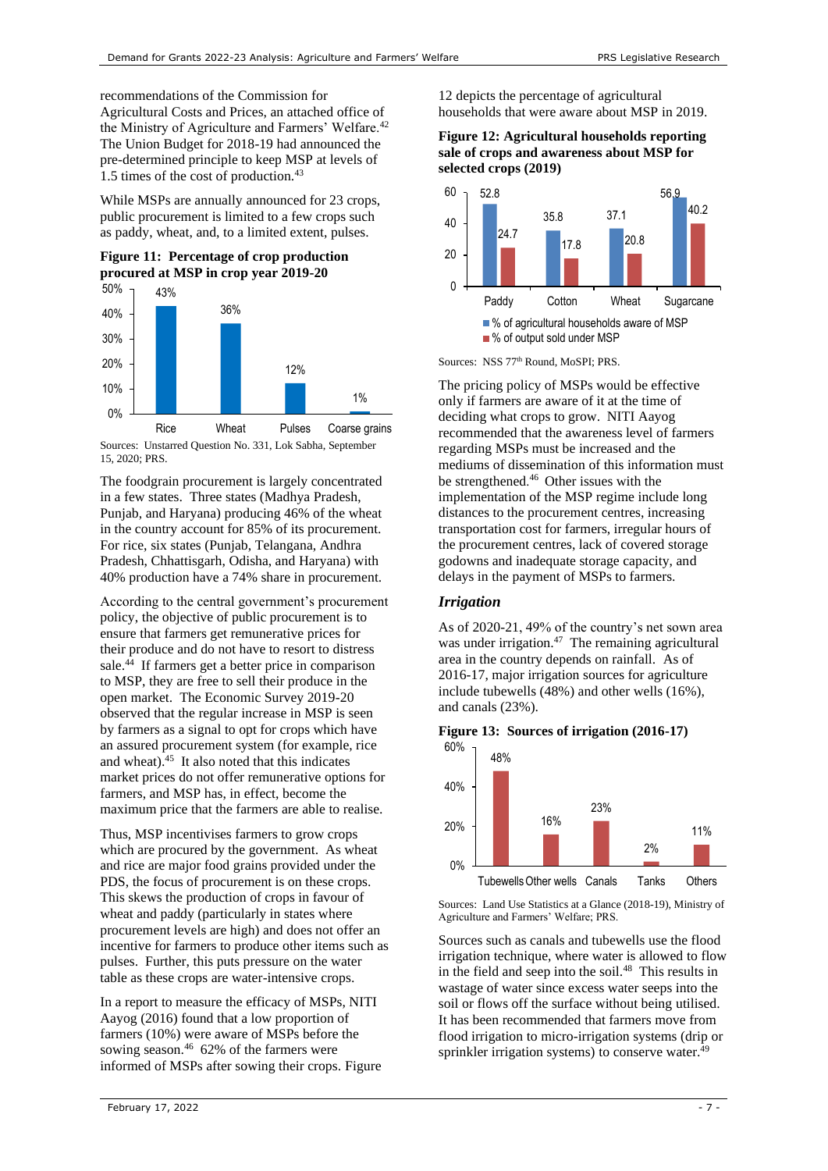recommendations of the Commission for Agricultural Costs and Prices, an attached office of the Ministry of Agriculture and Farmers' Welfare.<sup>42</sup> The Union Budget for 2018-19 had announced the pre-determined principle to keep MSP at levels of 1.5 times of the cost of production.<sup>43</sup>

While MSPs are annually announced for 23 crops, public procurement is limited to a few crops such as paddy, wheat, and, to a limited extent, pulses.





Sources: Unstarred Question No. 331, Lok Sabha, September 15, 2020; PRS.

The foodgrain procurement is largely concentrated in a few states. Three states (Madhya Pradesh, Punjab, and Haryana) producing 46% of the wheat in the country account for 85% of its procurement. For rice, six states (Punjab, Telangana, Andhra Pradesh, Chhattisgarh, Odisha, and Haryana) with 40% production have a 74% share in procurement.

According to the central government's procurement policy, the objective of public procurement is to ensure that farmers get remunerative prices for their produce and do not have to resort to distress sale.<sup>44</sup> If farmers get a better price in comparison to MSP, they are free to sell their produce in the open market. The Economic Survey 2019-20 observed that the regular increase in MSP is seen by farmers as a signal to opt for crops which have an assured procurement system (for example, rice and wheat).<sup>45</sup> It also noted that this indicates market prices do not offer remunerative options for farmers, and MSP has, in effect, become the maximum price that the farmers are able to realise.

Thus, MSP incentivises farmers to grow crops which are procured by the government. As wheat and rice are major food grains provided under the PDS, the focus of procurement is on these crops. This skews the production of crops in favour of wheat and paddy (particularly in states where procurement levels are high) and does not offer an incentive for farmers to produce other items such as pulses. Further, this puts pressure on the water table as these crops are water-intensive crops.

<span id="page-6-1"></span>In a report to measure the efficacy of MSPs, NITI Aayog (2016) found that a low proportion of farmers (10%) were aware of MSPs before the sowing season.<sup>46</sup> 62% of the farmers were informed of MSPs after sowing their crops. [Figure](#page-6-0) 

[12](#page-6-0) depicts the percentage of agricultural households that were aware about MSP in 2019.

<span id="page-6-0"></span>**Figure 12: Agricultural households reporting sale of crops and awareness about MSP for selected crops (2019)**



Sources: NSS 77<sup>th</sup> Round, MoSPI; PRS.

The pricing policy of MSPs would be effective only if farmers are aware of it at the time of deciding what crops to grow. NITI Aayog recommended that the awareness level of farmers regarding MSPs must be increased and the mediums of dissemination of this information must be strengthened. [46](#page-6-1) Other issues with the implementation of the MSP regime include long distances to the procurement centres, increasing transportation cost for farmers, irregular hours of the procurement centres, lack of covered storage godowns and inadequate storage capacity, and delays in the payment of MSPs to farmers.

## *Irrigation*

As of 2020-21, 49% of the country's net sown area was under irrigation. $47$  The remaining agricultural area in the country depends on rainfall. As of 2016-17, major irrigation sources for agriculture include tubewells (48%) and other wells (16%), and canals (23%).

**Figure 13: Sources of irrigation (2016-17)**



Sources: Land Use Statistics at a Glance (2018-19), Ministry of Agriculture and Farmers' Welfare; PRS.

Sources such as canals and tubewells use the flood irrigation technique, where water is allowed to flow in the field and seep into the soil.<sup>48</sup> This results in wastage of water since excess water seeps into the soil or flows off the surface without being utilised. It has been recommended that farmers move from flood irrigation to micro-irrigation systems (drip or sprinkler irrigation systems) to conserve water. $49$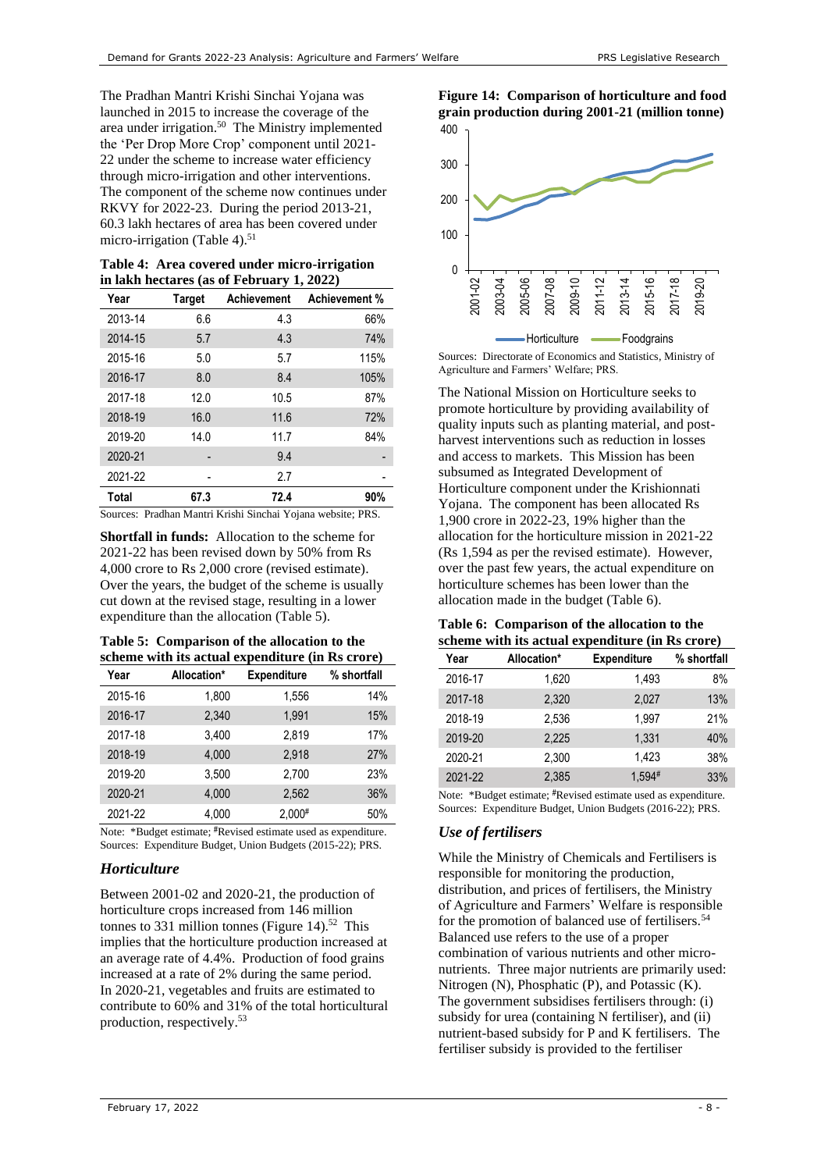The Pradhan Mantri Krishi Sinchai Yojana was launched in 2015 to increase the coverage of the area under irrigation. 50 The Ministry implemented the 'Per Drop More Crop' component until 2021- 22 under the scheme to increase water efficiency through micro-irrigation and other interventions. The component of the scheme now continues under RKVY for 2022-23. During the period 2013-21, 60.3 lakh hectares of area has been covered under micro-irrigation [\(Table 4\)](#page-7-0). $51$ 

<span id="page-7-0"></span>**Table 4: Area covered under micro-irrigation in lakh hectares (as of February 1, 2022)**

| Year    | <b>Target</b> | <b>Achievement</b> | Achievement % |
|---------|---------------|--------------------|---------------|
| 2013-14 | 6.6           | 4.3                | 66%           |
| 2014-15 | 5.7           | 4.3                | 74%           |
| 2015-16 | 5.0           | 5.7                | 115%          |
| 2016-17 | 8.0           | 8.4                | 105%          |
| 2017-18 | 12.0          | 10.5               | 87%           |
| 2018-19 | 16.0          | 11.6               | 72%           |
| 2019-20 | 14.0          | 11.7               | 84%           |
| 2020-21 |               | 9.4                |               |
| 2021-22 |               | 2.7                |               |
| Total   | 67.3          | 72.4               | 90%           |

Sources: Pradhan Mantri Krishi Sinchai Yojana website; PRS.

**Shortfall in funds:** Allocation to the scheme for 2021-22 has been revised down by 50% from Rs 4,000 crore to Rs 2,000 crore (revised estimate). Over the years, the budget of the scheme is usually cut down at the revised stage, resulting in a lower expenditure than the allocation [\(Table 5\)](#page-7-1).

<span id="page-7-1"></span>**Table 5: Comparison of the allocation to the scheme with its actual expenditure (in Rs crore)**

| Year    | Allocation* | <b>Expenditure</b> | % shortfall |
|---------|-------------|--------------------|-------------|
| 2015-16 | 1,800       | 1,556              | 14%         |
| 2016-17 | 2.340       | 1,991              | 15%         |
| 2017-18 | 3.400       | 2,819              | 17%         |
| 2018-19 | 4,000       | 2,918              | 27%         |
| 2019-20 | 3,500       | 2.700              | 23%         |
| 2020-21 | 4.000       | 2.562              | 36%         |
| 2021-22 | 4,000       | $2,000*$           | 50%         |

Note: \*Budget estimate; #Revised estimate used as expenditure. Sources: Expenditure Budget, Union Budgets (2015-22); PRS.

# *Horticulture*

Between 2001-02 and 2020-21, the production of horticulture crops increased from 146 million tonnes to 331 million tonnes [\(Figure 14\)](#page-7-2).<sup>52</sup> This implies that the horticulture production increased at an average rate of 4.4%. Production of food grains increased at a rate of 2% during the same period. In 2020-21, vegetables and fruits are estimated to contribute to 60% and 31% of the total horticultural production, respectively. 53

<span id="page-7-2"></span>



Sources: Directorate of Economics and Statistics, Ministry of Agriculture and Farmers' Welfare; PRS.

The National Mission on Horticulture seeks to promote horticulture by providing availability of quality inputs such as planting material, and postharvest interventions such as reduction in losses and access to markets. This Mission has been subsumed as Integrated Development of Horticulture component under the Krishionnati Yojana. The component has been allocated Rs 1,900 crore in 2022-23, 19% higher than the allocation for the horticulture mission in 2021-22 (Rs 1,594 as per the revised estimate). However, over the past few years, the actual expenditure on horticulture schemes has been lower than the allocation made in the budget [\(Table 6\)](#page-7-3).

#### <span id="page-7-3"></span>**Table 6: Comparison of the allocation to the scheme with its actual expenditure (in Rs crore)**

| Year    | Allocation* | <b>Expenditure</b> | % shortfall |
|---------|-------------|--------------------|-------------|
| 2016-17 | 1.620       | 1,493              | 8%          |
| 2017-18 | 2.320       | 2.027              | 13%         |
| 2018-19 | 2.536       | 1.997              | 21%         |
| 2019-20 | 2,225       | 1,331              | 40%         |
| 2020-21 | 2,300       | 1.423              | 38%         |
| 2021-22 | 2.385       | $1.594*$           | 33%         |

Note: \*Budget estimate; #Revised estimate used as expenditure. Sources: Expenditure Budget, Union Budgets (2016-22); PRS.

# *Use of fertilisers*

<span id="page-7-4"></span>While the Ministry of Chemicals and Fertilisers is responsible for monitoring the production, distribution, and prices of fertilisers, the Ministry of Agriculture and Farmers' Welfare is responsible for the promotion of balanced use of fertilisers.<sup>54</sup> Balanced use refers to the use of a proper combination of various nutrients and other micronutrients. Three major nutrients are primarily used: Nitrogen (N), Phosphatic (P), and Potassic (K). The government subsidises fertilisers through: (i) subsidy for urea (containing N fertiliser), and (ii) nutrient-based subsidy for P and K fertilisers. The fertiliser subsidy is provided to the fertiliser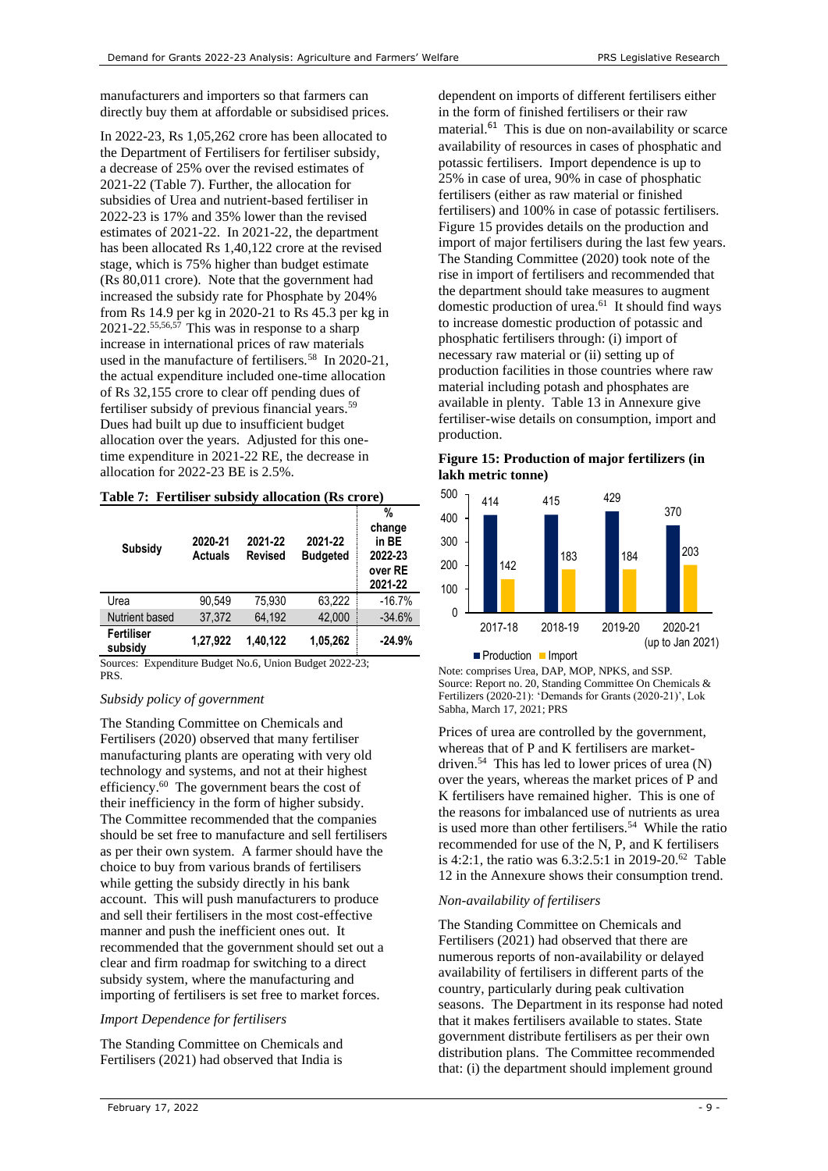manufacturers and importers so that farmers can directly buy them at affordable or subsidised prices.

In 2022-23, Rs 1,05,262 crore has been allocated to the Department of Fertilisers for fertiliser subsidy, a decrease of 25% over the revised estimates of 2021-22 [\(Table 7\)](#page-8-0). Further, the allocation for subsidies of Urea and nutrient-based fertiliser in 2022-23 is 17% and 35% lower than the revised estimates of 2021-22. In 2021-22, the department has been allocated Rs 1,40,122 crore at the revised stage, which is 75% higher than budget estimate (Rs 80,011 crore). Note that the government had increased the subsidy rate for Phosphate by 204% from Rs 14.9 per kg in 2020-21 to Rs 45.3 per kg in 2021-22.<sup>55,56,57</sup> This was in response to a sharp increase in international prices of raw materials used in the manufacture of fertilisers.<sup>58</sup> In 2020-21, the actual expenditure included one-time allocation of Rs 32,155 crore to clear off pending dues of fertiliser subsidy of previous financial years.<sup>59</sup> Dues had built up due to insufficient budget allocation over the years. Adjusted for this onetime expenditure in 2021-22 RE, the decrease in allocation for 2022-23 BE is 2.5%.

<span id="page-8-0"></span>

|  |  |  | Table 7: Fertiliser subsidy allocation (Rs crore) |  |  |
|--|--|--|---------------------------------------------------|--|--|
|--|--|--|---------------------------------------------------|--|--|

| Subsidy               | 2020-21<br><b>Actuals</b> | 2021-22<br><b>Revised</b> | 2021-22<br><b>Budgeted</b> | %<br>change<br>in BE<br>2022-23<br>over RE<br>2021-22 |
|-----------------------|---------------------------|---------------------------|----------------------------|-------------------------------------------------------|
| Urea                  | 90.549                    | 75.930                    | 63.222                     | $-16.7%$                                              |
| Nutrient based        | 37.372                    | 64.192                    | 42.000                     | $-34.6%$                                              |
| Fertiliser<br>subsidy | 1.27.922                  | 1.40.122                  | 1,05,262                   | $-24.9%$                                              |

Sources: Expenditure Budget No.6, Union Budget 2022-23; PRS.

#### *Subsidy policy of government*

The Standing Committee on Chemicals and Fertilisers (2020) observed that many fertiliser manufacturing plants are operating with very old technology and systems, and not at their highest efficiency.<sup>60</sup> The government bears the cost of their inefficiency in the form of higher subsidy. The Committee recommended that the companies should be set free to manufacture and sell fertilisers as per their own system. A farmer should have the choice to buy from various brands of fertilisers while getting the subsidy directly in his bank account. This will push manufacturers to produce and sell their fertilisers in the most cost-effective manner and push the inefficient ones out. It recommended that the government should set out a clear and firm roadmap for switching to a direct subsidy system, where the manufacturing and importing of fertilisers is set free to market forces.

#### *Import Dependence for fertilisers*

The Standing Committee on Chemicals and Fertilisers (2021) had observed that India is

dependent on imports of different fertilisers either in the form of finished fertilisers or their raw material.<sup>[61](#page-8-1)</sup> This is due on non-availability or scarce availability of resources in cases of phosphatic and potassic fertilisers. Import dependence is up to 25% in case of urea, 90% in case of phosphatic fertilisers (either as raw material or finished fertilisers) and 100% in case of potassic fertilisers. [Figure 15](#page-8-2) provides details on the production and import of major fertilisers during the last few years. The Standing Committee (2020) took note of the rise in import of fertilisers and recommended that the department should take measures to augment domestic production of urea.<sup>61</sup> It should find ways to increase domestic production of potassic and phosphatic fertilisers through: (i) import of necessary raw material or (ii) setting up of production facilities in those countries where raw material including potash and phosphates are available in plenty. [Table 13](#page-13-0) in Annexure give fertiliser-wise details on consumption, import and production.

#### <span id="page-8-2"></span><span id="page-8-1"></span>**Figure 15: Production of major fertilizers (in lakh metric tonne)**



Note: comprises Urea, DAP, MOP, NPKS, and SSP. Source: Report no. 20, Standing Committee On Chemicals & Fertilizers (2020-21): 'Demands for Grants (2020-21)', Lok Sabha, March 17, 2021; PRS

Prices of urea are controlled by the government, whereas that of P and K fertilisers are market-driven.<sup>[54](#page-7-4)</sup> This has led to lower prices of urea (N) over the years, whereas the market prices of P and K fertilisers have remained higher. This is one of the reasons for imbalanced use of nutrients as urea is used more than other fertilisers.<sup>[54](#page-7-4)</sup> While the ratio recommended for use of the N, P, and K fertilisers is 4:2:1, the ratio was 6.3:2.5:1 in 2019-20. 62 [Table](#page-13-1)  [12](#page-13-1) in the Annexure shows their consumption trend.

#### *Non-availability of fertilisers*

The Standing Committee on Chemicals and Fertilisers (2021) had observed that there are numerous reports of non-availability or delayed availability of fertilisers in different parts of the country, particularly during peak cultivation seasons. The Department in its response had noted that it makes fertilisers available to states. State government distribute fertilisers as per their own distribution plans. The Committee recommended that: (i) the department should implement ground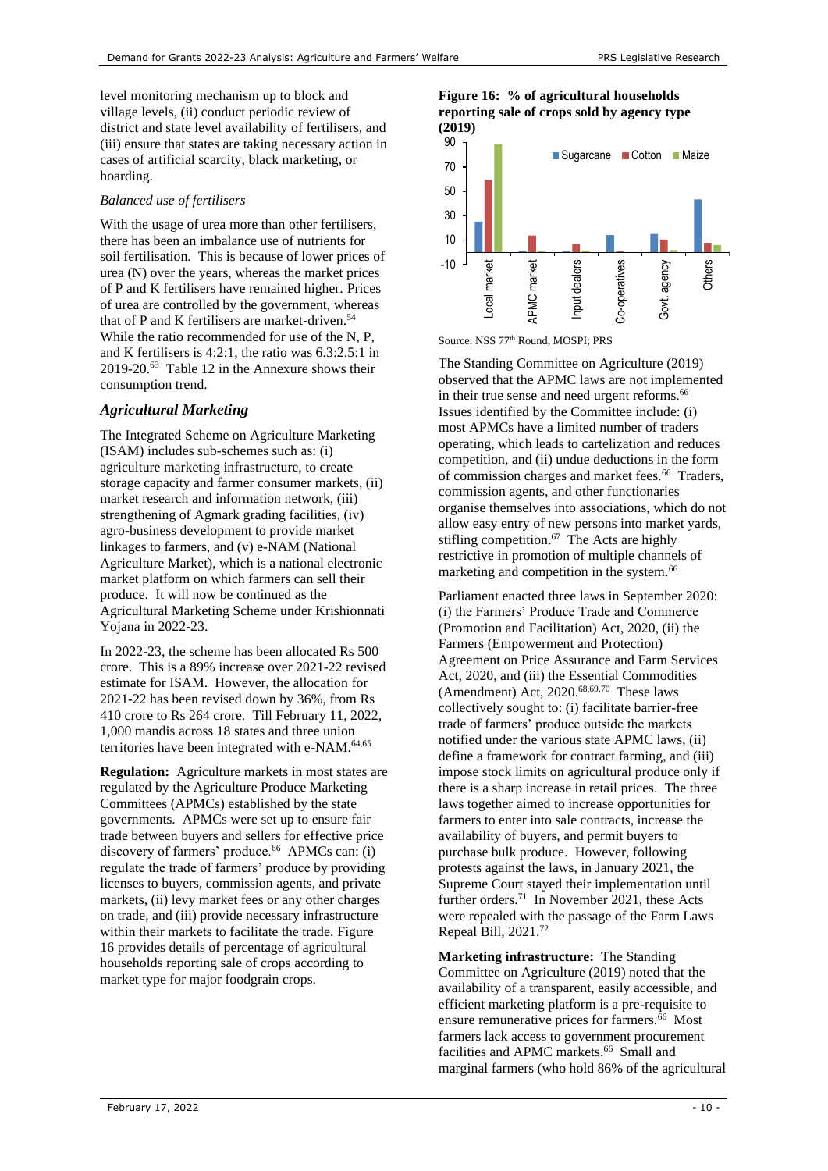level monitoring mechanism up to block and village levels, (ii) conduct periodic review of district and state level availability of fertilisers, and (iii) ensure that states are taking necessary action in cases of artificial scarcity, black marketing, or hoarding.

## *Balanced use of fertilisers*

With the usage of urea more than other fertilisers, there has been an imbalance use of nutrients for soil fertilisation. This is because of lower prices of urea (N) over the years, whereas the market prices of P and K fertilisers have remained higher. Prices of urea are controlled by the government, whereas that of P and K fertilisers are market-driven.<sup>[54](#page-7-4)</sup> While the ratio recommended for use of the N.P. and K fertilisers is 4:2:1, the ratio was 6.3:2.5:1 in 2019-20.<sup>63</sup> [Table 12](#page-13-1) in the Annexure shows their consumption trend.

# *Agricultural Marketing*

The Integrated Scheme on Agriculture Marketing (ISAM) includes sub-schemes such as: (i) agriculture marketing infrastructure, to create storage capacity and farmer consumer markets, (ii) market research and information network, (iii) strengthening of Agmark grading facilities, (iv) agro-business development to provide market linkages to farmers, and (v) e-NAM (National Agriculture Market), which is a national electronic market platform on which farmers can sell their produce. It will now be continued as the Agricultural Marketing Scheme under Krishionnati Yojana in 2022-23.

In 2022-23, the scheme has been allocated Rs 500 crore. This is a 89% increase over 2021-22 revised estimate for ISAM. However, the allocation for 2021-22 has been revised down by 36%, from Rs 410 crore to Rs 264 crore. Till February 11, 2022, 1,000 mandis across 18 states and three union territories have been integrated with e-NAM.<sup>64,65</sup>

<span id="page-9-1"></span>**Regulation:** Agriculture markets in most states are regulated by the Agriculture Produce Marketing Committees (APMCs) established by the state governments.APMCs were set up to ensure fair trade between buyers and sellers for effective price discovery of farmers' produce.<sup>66</sup> APMCs can: (i) regulate the trade of farmers' produce by providing licenses to buyers, commission agents, and private markets, (ii) levy market fees or any other charges on trade, and (iii) provide necessary infrastructure within their markets to facilitate the trade. [Figure](#page-9-0)  [16](#page-9-0) provides details of percentage of agricultural households reporting sale of crops according to market type for major foodgrain crops.

<span id="page-9-0"></span>



Source: NSS 77<sup>th</sup> Round, MOSPI; PRS

The Standing Committee on Agriculture (2019) observed that the APMC laws are not implemented in their true sense and need urgent reforms. [66](#page-9-1) Issues identified by the Committee include: (i) most APMCs have a limited number of traders operating, which leads to cartelization and reduces competition, and (ii) undue deductions in the form of commission charges and market fees.<sup>[66](#page-9-1)</sup> Traders, commission agents, and other functionaries organise themselves into associations, which do not allow easy entry of new persons into market yards, stifling competition.<sup>67</sup> The Acts are highly restrictive in promotion of multiple channels of marketing and competition in the system.<sup>[66](#page-9-1)</sup>

Parliament enacted three laws in September 2020: (i) the Farmers' Produce Trade and Commerce (Promotion and Facilitation) Act, 2020, (ii) the Farmers (Empowerment and Protection) Agreement on Price Assurance and Farm Services Act, 2020, and (iii) the Essential Commodities (Amendment) Act, 2020.68,69,70 These laws collectively sought to: (i) facilitate barrier-free trade of farmers' produce outside the markets notified under the various state APMC laws, (ii) define a framework for contract farming, and (iii) impose stock limits on agricultural produce only if there is a sharp increase in retail prices. The three laws together aimed to increase opportunities for farmers to enter into sale contracts, increase the availability of buyers, and permit buyers to purchase bulk produce. However, following protests against the laws, in January 2021, the Supreme Court stayed their implementation until further orders.<sup>71</sup> In November 2021, these Acts were repealed with the passage of the Farm Laws Repeal Bill, 2021.<sup>72</sup>

**Marketing infrastructure:** The Standing Committee on Agriculture (2019) noted that the availability of a transparent, easily accessible, and efficient marketing platform is a pre-requisite to ensure remunerative prices for farmers.<sup>[66](#page-9-1)</sup> Most farmers lack access to government procurement facilities and APMC markets.<sup>[66](#page-9-1)</sup> Small and marginal farmers (who hold 86% of the agricultural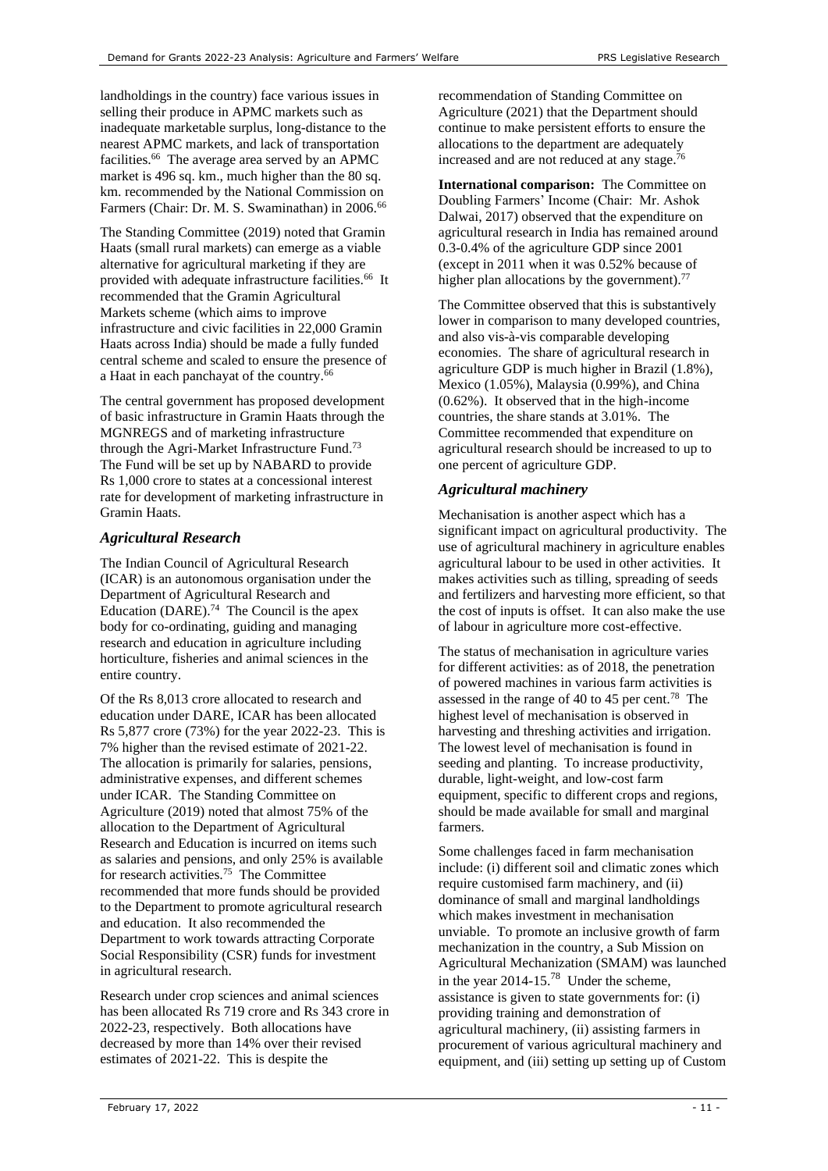landholdings in the country) face various issues in selling their produce in APMC markets such as inadequate marketable surplus, long-distance to the nearest APMC markets, and lack of transportation facilities.<sup>[66](#page-9-1)</sup> The average area served by an APMC market is 496 sq. km., much higher than the 80 sq. km. recommended by the National Commission on Farmers (Chair: Dr. M. S. Swaminathan) in 2006.[66](#page-9-1)

The Standing Committee (2019) noted that Gramin Haats (small rural markets) can emerge as a viable alternative for agricultural marketing if they are provided with adequate infrastructure facilities.<sup>[66](#page-9-1)</sup> It recommended that the Gramin Agricultural Markets scheme (which aims to improve infrastructure and civic facilities in 22,000 Gramin Haats across India) should be made a fully funded central scheme and scaled to ensure the presence of a Haat in each panchayat of the country.[66](#page-9-1)

The central government has proposed development of basic infrastructure in Gramin Haats through the MGNREGS and of marketing infrastructure through the Agri-Market Infrastructure Fund.<sup>73</sup> The Fund will be set up by NABARD to provide Rs 1,000 crore to states at a concessional interest rate for development of marketing infrastructure in Gramin Haats.

## *Agricultural Research*

The Indian Council of Agricultural Research (ICAR) is an autonomous organisation under the Department of Agricultural Research and Education (DARE). 74 The Council is the apex body for co-ordinating, guiding and managing research and education in agriculture including horticulture, fisheries and animal sciences in the entire country.

Of the Rs 8,013 crore allocated to research and education under DARE, ICAR has been allocated Rs 5,877 crore (73%) for the year 2022-23. This is 7% higher than the revised estimate of 2021-22. The allocation is primarily for salaries, pensions, administrative expenses, and different schemes under ICAR. The Standing Committee on Agriculture (2019) noted that almost 75% of the allocation to the Department of Agricultural Research and Education is incurred on items such as salaries and pensions, and only 25% is available for research activities.<sup>75</sup> The Committee recommended that more funds should be provided to the Department to promote agricultural research and education. It also recommended the Department to work towards attracting Corporate Social Responsibility (CSR) funds for investment in agricultural research.

Research under crop sciences and animal sciences has been allocated Rs 719 crore and Rs 343 crore in 2022-23, respectively. Both allocations have decreased by more than 14% over their revised estimates of 2021-22. This is despite the

recommendation of Standing Committee on Agriculture (2021) that the Department should continue to make persistent efforts to ensure the allocations to the department are adequately increased and are not reduced at any stage.<sup>76</sup>

**International comparison:** The Committee on Doubling Farmers' Income (Chair: Mr. Ashok Dalwai, 2017) observed that the expenditure on agricultural research in India has remained around 0.3-0.4% of the agriculture GDP since 2001 (except in 2011 when it was 0.52% because of higher plan allocations by the government).<sup>77</sup>

The Committee observed that this is substantively lower in comparison to many developed countries, and also vis-à-vis comparable developing economies. The share of agricultural research in agriculture GDP is much higher in Brazil (1.8%), Mexico (1.05%), Malaysia (0.99%), and China (0.62%). It observed that in the high-income countries, the share stands at 3.01%. The Committee recommended that expenditure on agricultural research should be increased to up to one percent of agriculture GDP.

## *Agricultural machinery*

Mechanisation is another aspect which has a significant impact on agricultural productivity. The use of agricultural machinery in agriculture enables agricultural labour to be used in other activities. It makes activities such as tilling, spreading of seeds and fertilizers and harvesting more efficient, so that the cost of inputs is offset. It can also make the use of labour in agriculture more cost-effective.

<span id="page-10-0"></span>The status of mechanisation in agriculture varies for different activities: as of 2018, the penetration of powered machines in various farm activities is assessed in the range of 40 to 45 per cent.<sup>78</sup> The highest level of mechanisation is observed in harvesting and threshing activities and irrigation. The lowest level of mechanisation is found in seeding and planting. To increase productivity, durable, light-weight, and low-cost farm equipment, specific to different crops and regions, should be made available for small and marginal farmers.

Some challenges faced in farm mechanisation include: (i) different soil and climatic zones which require customised farm machinery, and (ii) dominance of small and marginal landholdings which makes investment in mechanisation unviable. To promote an inclusive growth of farm mechanization in the country, a Sub Mission on Agricultural Mechanization (SMAM) was launched in the year  $2014-15.^{78}$  $2014-15.^{78}$  $2014-15.^{78}$  Under the scheme. assistance is given to state governments for: (i) providing training and demonstration of agricultural machinery, (ii) assisting farmers in procurement of various agricultural machinery and equipment, and (iii) setting up setting up of Custom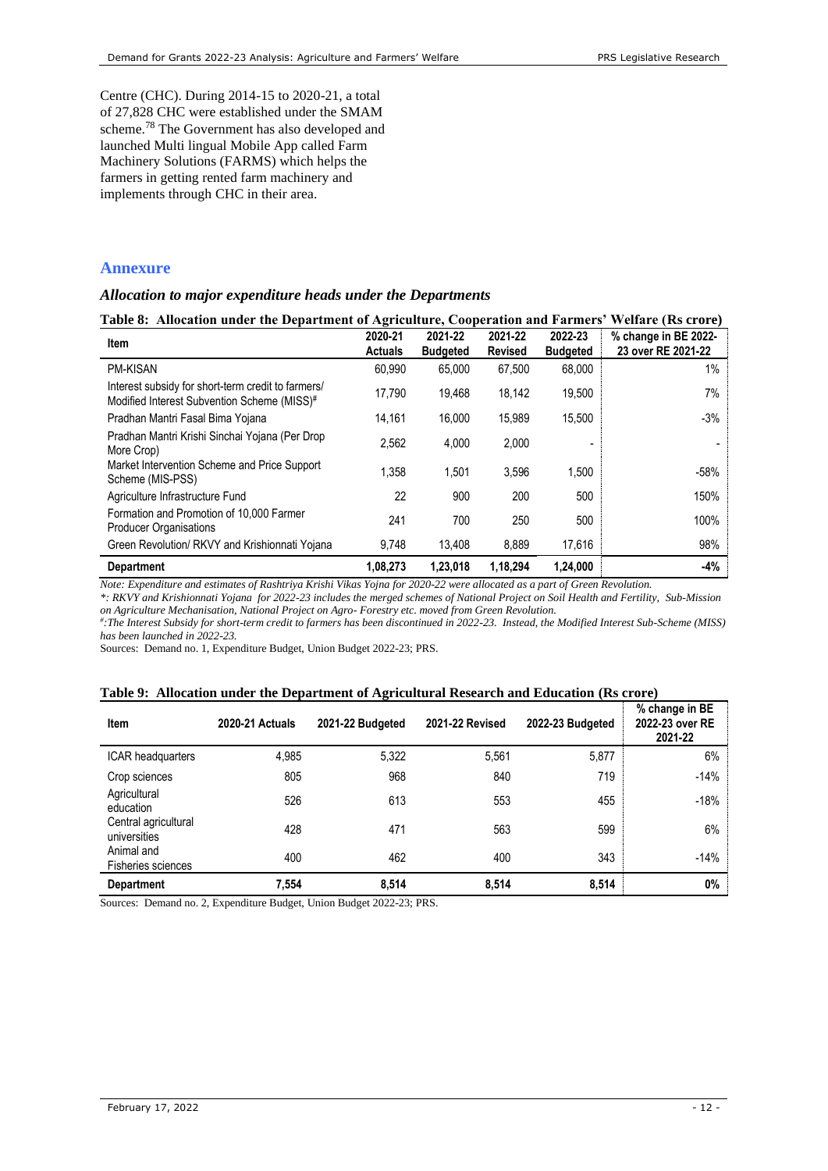Centre (CHC). During 2014-15 to 2020-21, a total of 27,828 CHC were established under the SMAM scheme.[78](#page-10-0) The Government has also developed and launched Multi lingual Mobile App called Farm Machinery Solutions (FARMS) which helps the farmers in getting rented farm machinery and implements through CHC in their area.

## **Annexure**

### *Allocation to major expenditure heads under the Departments*

<span id="page-11-0"></span>

| Table 8: Allocation under the Department of Agriculture, Cooperation and Farmers' Welfare (Rs crore) |                           |                            |                           |                            |                                            |
|------------------------------------------------------------------------------------------------------|---------------------------|----------------------------|---------------------------|----------------------------|--------------------------------------------|
| Item                                                                                                 | 2020-21<br><b>Actuals</b> | 2021-22<br><b>Budgeted</b> | 2021-22<br><b>Revised</b> | 2022-23<br><b>Budgeted</b> | % change in BE 2022-<br>23 over RE 2021-22 |
| <b>PM-KISAN</b>                                                                                      | 60,990                    | 65,000                     | 67,500                    | 68,000                     | 1%                                         |
| Interest subsidy for short-term credit to farmers/<br>Modified Interest Subvention Scheme (MISS)#    | 17.790                    | 19,468                     | 18,142                    | 19,500                     | 7%                                         |
| Pradhan Mantri Fasal Bima Yojana                                                                     | 14.161                    | 16.000                     | 15,989                    | 15,500                     | $-3%$                                      |
| Pradhan Mantri Krishi Sinchai Yojana (Per Drop<br>More Crop)                                         | 2,562                     | 4,000                      | 2,000                     | -                          |                                            |
| Market Intervention Scheme and Price Support<br>Scheme (MIS-PSS)                                     | 1.358                     | 1.501                      | 3.596                     | 1,500                      | $-58%$                                     |
| Agriculture Infrastructure Fund                                                                      | 22                        | 900                        | 200                       | 500                        | 150%                                       |
| Formation and Promotion of 10,000 Farmer<br><b>Producer Organisations</b>                            | 241                       | 700                        | 250                       | 500                        | 100%                                       |
| Green Revolution/ RKVY and Krishionnati Yojana                                                       | 9,748                     | 13,408                     | 8,889                     | 17,616                     | 98%                                        |
| Department                                                                                           | 1,08,273                  | 1,23,018                   | 1,18,294                  | 1,24,000                   | $-4%$                                      |

*Note: Expenditure and estimates of Rashtriya Krishi Vikas Yojna for 2020-22 were allocated as a part of Green Revolution.*

*\*: RKVY and Krishionnati Yojana for 2022-23 includes the merged schemes of National Project on Soil Health and Fertility, Sub-Mission* 

on Agriculture Mechanisation, National Project on Agro- Forestry etc. moved from Green Revolution.<br>#:The Interest Subsidy for short-term credit to farmers has been discontinued in 2022-23. Instead, the Modified Interest S *has been launched in 2022-23.* 

Sources: Demand no. 1, Expenditure Budget, Union Budget 2022-23; PRS.

#### <span id="page-11-1"></span>**Table 9: Allocation under the Department of Agricultural Research and Education (Rs crore)**

| Item                                    | 2020-21 Actuals | 2021-22 Budgeted | <b>2021-22 Revised</b> | 2022-23 Budgeted | % change in BE<br>2022-23 over RE<br>2021-22 |
|-----------------------------------------|-----------------|------------------|------------------------|------------------|----------------------------------------------|
| <b>ICAR headquarters</b>                | 4,985           | 5,322            | 5,561                  | 5,877            | 6%                                           |
| Crop sciences                           | 805             | 968              | 840                    | 719              | $-14%$                                       |
| Agricultural<br>education               | 526             | 613              | 553                    | 455              | $-18%$                                       |
| Central agricultural<br>universities    | 428             | 471              | 563                    | 599              | 6%                                           |
| Animal and<br><b>Fisheries sciences</b> | 400             | 462              | 400                    | 343              | $-14%$                                       |
| <b>Department</b>                       | 7.554           | 8,514            | 8,514                  | 8,514            | 0%                                           |

Sources: Demand no. 2, Expenditure Budget, Union Budget 2022-23; PRS.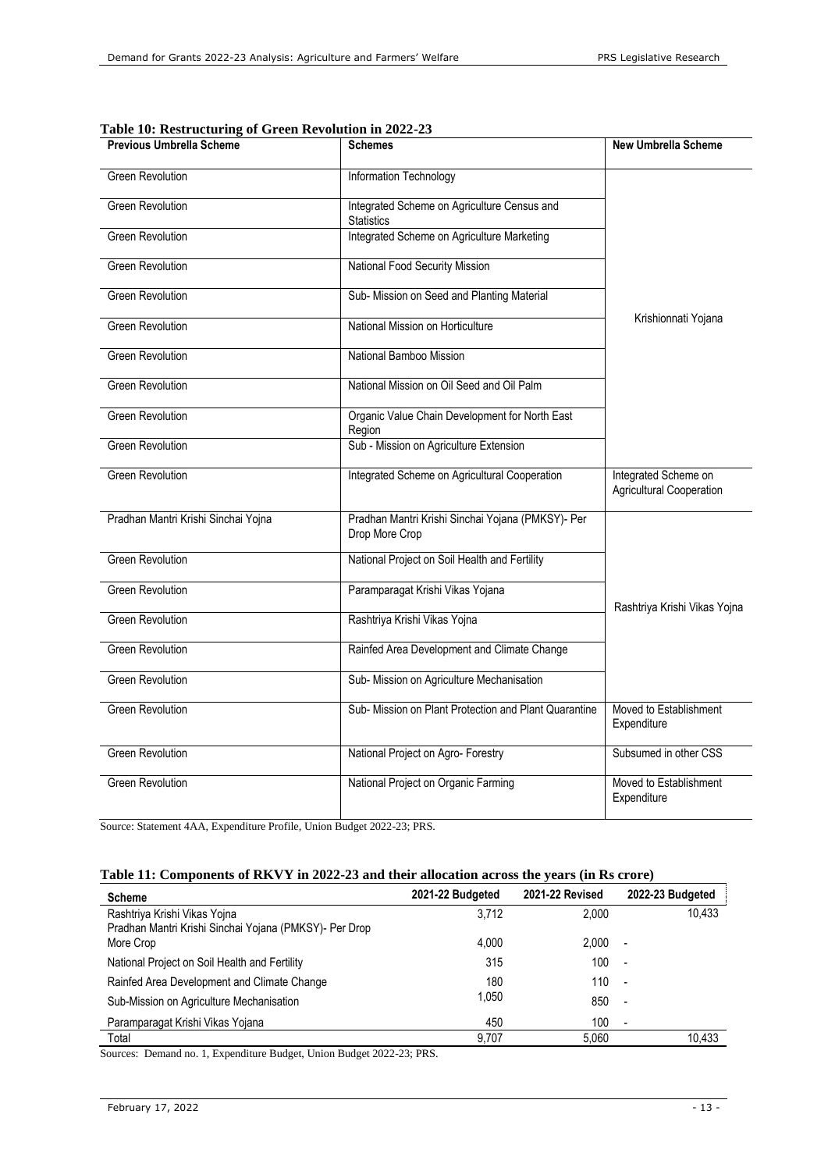| <b>Previous Umbrella Scheme</b>     | <b>Schemes</b>                                                      | <b>New Umbrella Scheme</b>                       |
|-------------------------------------|---------------------------------------------------------------------|--------------------------------------------------|
| <b>Green Revolution</b>             | Information Technology                                              |                                                  |
| <b>Green Revolution</b>             | Integrated Scheme on Agriculture Census and<br><b>Statistics</b>    |                                                  |
| <b>Green Revolution</b>             | Integrated Scheme on Agriculture Marketing                          |                                                  |
| <b>Green Revolution</b>             | National Food Security Mission                                      |                                                  |
| <b>Green Revolution</b>             | Sub- Mission on Seed and Planting Material                          |                                                  |
| <b>Green Revolution</b>             | National Mission on Horticulture                                    | Krishionnati Yojana                              |
| <b>Green Revolution</b>             | National Bamboo Mission                                             |                                                  |
| <b>Green Revolution</b>             | National Mission on Oil Seed and Oil Palm                           |                                                  |
| <b>Green Revolution</b>             | Organic Value Chain Development for North East<br>Region            |                                                  |
| Green Revolution                    | Sub - Mission on Agriculture Extension                              |                                                  |
| <b>Green Revolution</b>             | Integrated Scheme on Agricultural Cooperation                       | Integrated Scheme on<br>Agricultural Cooperation |
| Pradhan Mantri Krishi Sinchai Yojna | Pradhan Mantri Krishi Sinchai Yojana (PMKSY)- Per<br>Drop More Crop |                                                  |
| <b>Green Revolution</b>             | National Project on Soil Health and Fertility                       |                                                  |
| <b>Green Revolution</b>             | Paramparagat Krishi Vikas Yojana                                    | Rashtriya Krishi Vikas Yojna                     |
| <b>Green Revolution</b>             | Rashtriya Krishi Vikas Yojna                                        |                                                  |
| <b>Green Revolution</b>             | Rainfed Area Development and Climate Change                         |                                                  |
| <b>Green Revolution</b>             | Sub- Mission on Agriculture Mechanisation                           |                                                  |
| <b>Green Revolution</b>             | Sub- Mission on Plant Protection and Plant Quarantine               | Moved to Establishment<br>Expenditure            |
| <b>Green Revolution</b>             | National Project on Agro- Forestry                                  | Subsumed in other CSS                            |
| <b>Green Revolution</b>             | National Project on Organic Farming                                 | Moved to Establishment<br>Expenditure            |

Source: Statement 4AA, Expenditure Profile, Union Budget 2022-23; PRS.

## <span id="page-12-0"></span>**Table 11: Components of RKVY in 2022-23 and their allocation across the years (in Rs crore)**

| <b>Scheme</b>                                          | 2021-22 Budgeted | <b>2021-22 Revised</b> | 2022-23 Budgeted         |
|--------------------------------------------------------|------------------|------------------------|--------------------------|
| Rashtriya Krishi Vikas Yojna                           | 3.712            | 2.000                  | 10,433                   |
| Pradhan Mantri Krishi Sinchai Yojana (PMKSY)- Per Drop |                  |                        |                          |
| More Crop                                              | 4.000            | 2.000                  | $\overline{\phantom{a}}$ |
| National Project on Soil Health and Fertility          | 315              | 100                    | $\overline{\phantom{a}}$ |
| Rainfed Area Development and Climate Change            | 180              | 110                    | $\overline{\phantom{a}}$ |
| Sub-Mission on Agriculture Mechanisation               | 1.050            | 850                    | $\overline{\phantom{a}}$ |
| Paramparagat Krishi Vikas Yojana                       | 450              | 100                    | $\overline{\phantom{a}}$ |
| Total                                                  | 9.707            | 5.060                  | 10.433                   |

Sources: Demand no. 1, Expenditure Budget, Union Budget 2022-23; PRS.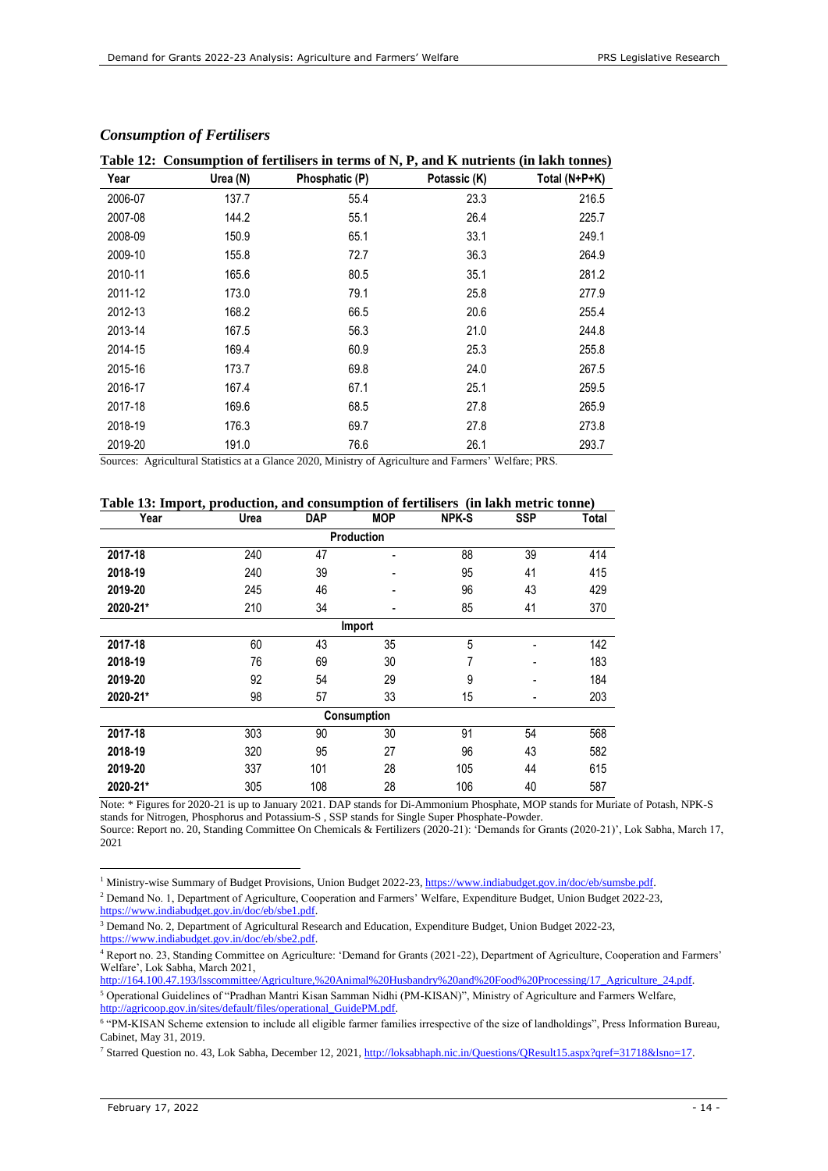| 1001v 120 |          | Consumption of its dissers in terms of $\mathcal{F}_1$ , and it had its may be annot |              |               |
|-----------|----------|--------------------------------------------------------------------------------------|--------------|---------------|
| Year      | Urea (N) | Phosphatic (P)                                                                       | Potassic (K) | Total (N+P+K) |
| 2006-07   | 137.7    | 55.4                                                                                 | 23.3         | 216.5         |
| 2007-08   | 144.2    | 55.1                                                                                 | 26.4         | 225.7         |
| 2008-09   | 150.9    | 65.1                                                                                 | 33.1         | 249.1         |
| 2009-10   | 155.8    | 72.7                                                                                 | 36.3         | 264.9         |
| 2010-11   | 165.6    | 80.5                                                                                 | 35.1         | 281.2         |
| 2011-12   | 173.0    | 79.1                                                                                 | 25.8         | 277.9         |
| 2012-13   | 168.2    | 66.5                                                                                 | 20.6         | 255.4         |
| 2013-14   | 167.5    | 56.3                                                                                 | 21.0         | 244.8         |
| 2014-15   | 169.4    | 60.9                                                                                 | 25.3         | 255.8         |
| 2015-16   | 173.7    | 69.8                                                                                 | 24.0         | 267.5         |
| 2016-17   | 167.4    | 67.1                                                                                 | 25.1         | 259.5         |
| 2017-18   | 169.6    | 68.5                                                                                 | 27.8         | 265.9         |
| 2018-19   | 176.3    | 69.7                                                                                 | 27.8         | 273.8         |
| 2019-20   | 191.0    | 76.6                                                                                 | 26.1         | 293.7         |

### *Consumption of Fertilisers*

## <span id="page-13-1"></span>**Table 12: Consumption of fertilisers in terms of N, P, and K nutrients (in lakh tonnes)**

Sources: Agricultural Statistics at a Glance 2020, Ministry of Agriculture and Farmers' Welfare; PRS.

#### <span id="page-13-0"></span>**Table 13: Import, production, and consumption of fertilisers (in lakh metric tonne)**

| Year              | Urea | <b>DAP</b> | <b>MOP</b>               | <b>NPK-S</b> | <b>SSP</b> | <b>Total</b> |  |  |  |
|-------------------|------|------------|--------------------------|--------------|------------|--------------|--|--|--|
| <b>Production</b> |      |            |                          |              |            |              |  |  |  |
| 2017-18           | 240  | 47         | $\blacksquare$           | 88           | 39         | 414          |  |  |  |
| 2018-19           | 240  | 39         | $\blacksquare$           | 95           | 41         | 415          |  |  |  |
| 2019-20           | 245  | 46         | $\overline{\phantom{a}}$ | 96           | 43         | 429          |  |  |  |
| 2020-21*          | 210  | 34         | -                        | 85           | 41         | 370          |  |  |  |
| Import            |      |            |                          |              |            |              |  |  |  |
| 2017-18           | 60   | 43         | 35                       | 5            | ۰          | 142          |  |  |  |
| 2018-19           | 76   | 69         | 30                       | 7            | ۰          | 183          |  |  |  |
| 2019-20           | 92   | 54         | 29                       | 9            |            | 184          |  |  |  |
| 2020-21*          | 98   | 57         | 33                       | 15           | ۰          | 203          |  |  |  |
| Consumption       |      |            |                          |              |            |              |  |  |  |
| 2017-18           | 303  | 90         | 30                       | 91           | 54         | 568          |  |  |  |
| 2018-19           | 320  | 95         | 27                       | 96           | 43         | 582          |  |  |  |
| 2019-20           | 337  | 101        | 28                       | 105          | 44         | 615          |  |  |  |
| 2020-21*          | 305  | 108        | 28                       | 106          | 40         | 587          |  |  |  |

Note: \* Figures for 2020-21 is up to January 2021. DAP stands for Di-Ammonium Phosphate, MOP stands for Muriate of Potash, NPK-S stands for Nitrogen, Phosphorus and Potassium-S , SSP stands for Single Super Phosphate-Powder. Source: Report no. 20, Standing Committee On Chemicals & Fertilizers (2020-21): 'Demands for Grants (2020-21)', Lok Sabha, March 17, 2021

<sup>1</sup> Ministry-wise Summary of Budget Provisions, Union Budget 2022-23, [https://www.indiabudget.gov.in/doc/eb/sumsbe.pdf.](https://www.indiabudget.gov.in/doc/eb/sumsbe.pdf)

<sup>2</sup> Demand No. 1, Department of Agriculture, Cooperation and Farmers' Welfare, Expenditure Budget, Union Budget 2022-23, [https://www.indiabudget.gov.in/doc/eb/sbe1.pdf.](https://www.indiabudget.gov.in/doc/eb/sbe1.pdf) 

<sup>3</sup> Demand No. 2, Department of Agricultural Research and Education, Expenditure Budget, Union Budget 2022-23, [https://www.indiabudget.gov.in/doc/eb/sbe2.pdf.](https://www.indiabudget.gov.in/doc/eb/sbe2.pdf)

<sup>4</sup> Report no. 23, Standing Committee on Agriculture: 'Demand for Grants (2021-22), Department of Agriculture, Cooperation and Farmers' Welfare', Lok Sabha, March 2021,

http://164.100.47.193/lsscommittee/Agriculture,%20Animal%20Husbandry%20and%20Food%20Processing/17\_Agriculture\_24.pdf. <sup>5</sup> Operational Guidelines of "Pradhan Mantri Kisan Samman Nidhi (PM-KISAN)", Ministry of Agriculture and Farmers Welfare, [http://agricoop.gov.in/sites/default/files/operational\\_GuidePM.pdf.](http://agricoop.gov.in/sites/default/files/operational_GuidePM.pdf)

<sup>6</sup> "PM-KISAN Scheme extension to include all eligible farmer families irrespective of the size of landholdings", Press Information Bureau, Cabinet, May 31, 2019.

<sup>7</sup> Starred Question no. 43, Lok Sabha, December 12, 2021, [http://loksabhaph.nic.in/Questions/QResult15.aspx?qref=31718&lsno=17.](http://loksabhaph.nic.in/Questions/QResult15.aspx?qref=31718&lsno=17)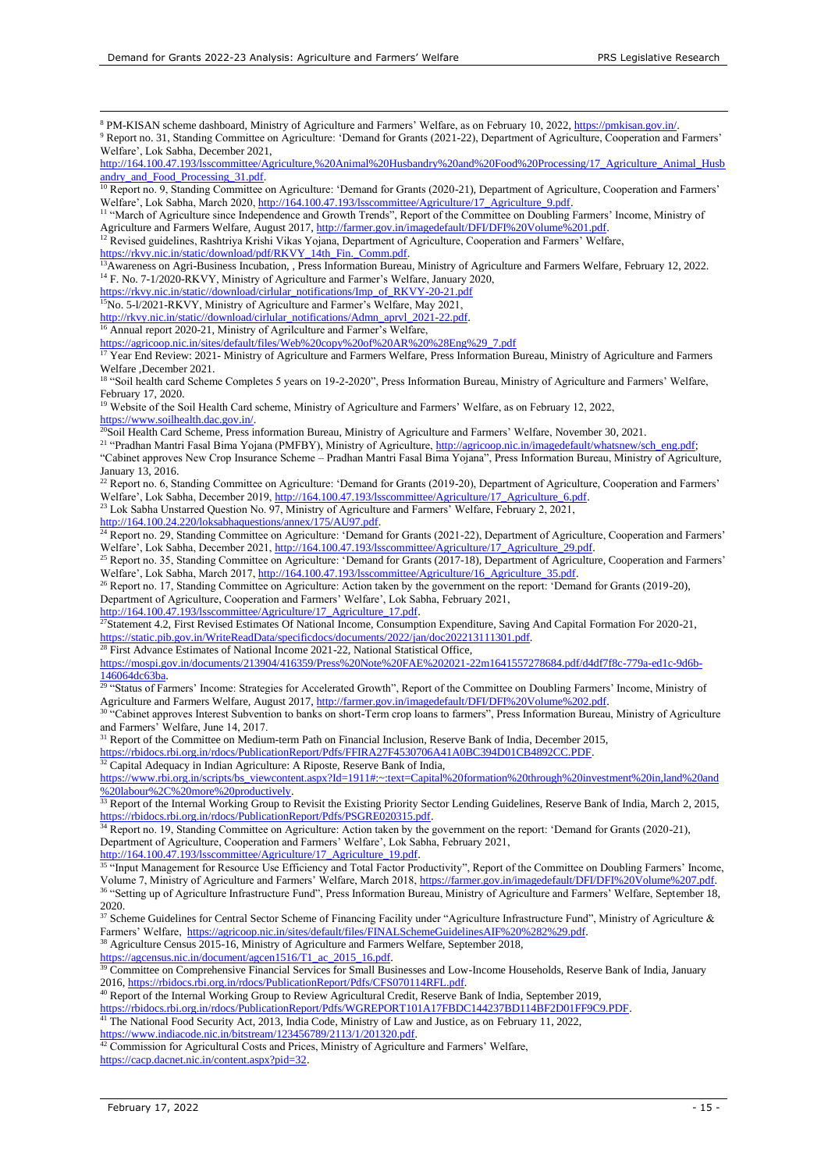<sup>8</sup> PM-KISAN scheme dashboard, Ministry of Agriculture and Farmers' Welfare, as on February 10, 2022[, https://pmkisan.gov.in/.](https://pmkisan.gov.in/) 9 Report no. 31, Standing Committee on Agriculture: 'Demand for Grants (2021-22), Department of Agriculture, Cooperation and Farmers'

Welfare', Lok Sabha, December 2021,

[http://164.100.47.193/lsscommittee/Agriculture,%20Animal%20Husbandry%20and%20Food%20Processing/17\\_Agriculture\\_Animal\\_Husb](http://164.100.47.193/lsscommittee/Agriculture,%20Animal%20Husbandry%20and%20Food%20Processing/17_Agriculture_Animal_Husbandry_and_Food_Processing_31.pdf) [andry\\_and\\_Food\\_Processing\\_31.pdf.](http://164.100.47.193/lsscommittee/Agriculture,%20Animal%20Husbandry%20and%20Food%20Processing/17_Agriculture_Animal_Husbandry_and_Food_Processing_31.pdf) 

<sup>10</sup> Report no. 9, Standing Committee on Agriculture: 'Demand for Grants (2020-21), Department of Agriculture, Cooperation and Farmers' Welfare', Lok Sabha, March 2020, http://164.100.47.193/lsscommittee/Agriculture/17\_Agriculture\_9.pdf

<sup>11</sup> "March of Agriculture since Independence and Growth Trends", Report of the Committee on Doubling Farmers' Income, Ministry of Agriculture and Farmers Welfare, August 2017[, http://farmer.gov.in/imagedefault/DFI/DFI%20Volume%201.pdf.](http://farmer.gov.in/imagedefault/DFI/DFI%20Volume%201.pdf)

<sup>12</sup> Revised guidelines, Rashtriya Krishi Vikas Yojana, Department of Agriculture, Cooperation and Farmers' Welfare,

[https://rkvy.nic.in/static/download/pdf/RKVY\\_14th\\_Fin.\\_Comm.pdf.](https://rkvy.nic.in/static/download/pdf/RKVY_14th_Fin._Comm.pdf)

<sup>13</sup>Awareness on Agri-Business Incubation, , Press Information Bureau, Ministry of Agriculture and Farmers Welfare, February 12, 2022. <sup>14</sup> F. No. 7-1/2020-RKVY, Ministry of Agriculture and Farmer's Welfare, January 2020,

[https://rkvy.nic.in/static//download/cirlular\\_notifications/Imp\\_of\\_RKVY-20-21.pdf](https://rkvy.nic.in/static/download/cirlular_notifications/Imp_of_RKVY-20-21.pdf)

 $15$ No. 5-l/2021-RKVY, Ministry of Agriculture and Farmer's Welfare, May 2021,

[http://rkvy.nic.in/static//download/cirlular\\_notifications/Admn\\_aprvl\\_2021-22.pdf.](http://rkvy.nic.in/static/download/cirlular_notifications/Admn_aprvl_2021-22.pdf)

<sup>16</sup> Annual report 2020-21, Ministry of Agrilculture and Farmer's Welfare,

[https://agricoop.nic.in/sites/default/files/Web%20copy%20of%20AR%20%28Eng%29\\_7.pdf](https://agricoop.nic.in/sites/default/files/Web%20copy%20of%20AR%20%28Eng%29_7.pdf)

<sup>17</sup> Year End Review: 2021- Ministry of Agriculture and Farmers Welfare, Press Information Bureau, Ministry of Agriculture and Farmers Welfare ,December 2021.

<sup>18</sup> "Soil health card Scheme Completes 5 years on 19-2-2020", Press Information Bureau, Ministry of Agriculture and Farmers' Welfare, February 17, 2020.

<sup>9</sup> Website of the Soil Health Card scheme, Ministry of Agriculture and Farmers' Welfare, as on February 12, 2022, [https://www.soilhealth.dac.gov.in/.](https://www.soilhealth.dac.gov.in/)

<sup>20</sup>Soil Health Card Scheme, Press information Bureau, Ministry of Agriculture and Farmers' Welfare, November 30, 2021.

<sup>21</sup> "Pradhan Mantri Fasal Bima Yojana (PMFBY), Ministry of Agriculture[, http://agricoop.nic.in/imagedefault/whatsnew/sch\\_eng.pdf;](http://agricoop.nic.in/imagedefault/whatsnew/sch_eng.pdf) "Cabinet approves New Crop Insurance Scheme – Pradhan Mantri Fasal Bima Yojana", Press Information Bureau, Ministry of Agriculture, January 13, 2016.

<sup>22</sup> Report no. 6, Standing Committee on Agriculture: 'Demand for Grants (2019-20), Department of Agriculture, Cooperation and Farmers' Welfare', Lok Sabha, December 2019[, http://164.100.47.193/lsscommittee/Agriculture/17\\_Agriculture\\_6.pdf.](http://164.100.47.193/lsscommittee/Agriculture/17_Agriculture_6.pdf)

 $23$  Lok Sabha Unstarred Question No. 97, Ministry of Agriculture and Farmers' Welfare, February 2, 2021, [http://164.100.24.220/loksabhaquestions/annex/175/AU97.pdf.](http://164.100.24.220/loksabhaquestions/annex/175/AU97.pdf)

<sup>24</sup> Report no. 29, Standing Committee on Agriculture: 'Demand for Grants (2021-22), Department of Agriculture, Cooperation and Farmers' Welfare', Lok Sabha, December 2021[, http://164.100.47.193/lsscommittee/Agriculture/17\\_Agriculture\\_29.pdf.](http://164.100.47.193/lsscommittee/Agriculture/17_Agriculture_29.pdf)

<sup>25</sup> Report no. 35, Standing Committee on Agriculture: 'Demand for Grants (2017-18), Department of Agriculture, Cooperation and Farmers' Welfare', Lok Sabha, March 2017[, http://164.100.47.193/lsscommittee/Agriculture/16\\_Agriculture\\_35.pdf.](http://164.100.47.193/lsscommittee/Agriculture/16_Agriculture_35.pdf)

<sup>26</sup> Report no. 17, Standing Committee on Agriculture: Action taken by the government on the report: 'Demand for Grants (2019-20), Department of Agriculture, Cooperation and Farmers' Welfare', Lok Sabha, February 2021,

[http://164.100.47.193/lsscommittee/Agriculture/17\\_Agriculture\\_17.pdf.](http://164.100.47.193/lsscommittee/Agriculture/17_Agriculture_17.pdf)

 $^{27}$ Statement 4.2, First Revised Estimates Of National Income, Consumption Expenditure, Saving And Capital Formation For 2020-21, [https://static.pib.gov.in/WriteReadData/specificdocs/documents/2022/jan/doc202213111301.pdf.](https://static.pib.gov.in/WriteReadData/specificdocs/documents/2022/jan/doc202213111301.pdf)

<sup>28</sup> First Advance Estimates of National Income 2021-22, National Statistical Office,

[https://mospi.gov.in/documents/213904/416359/Press%20Note%20FAE%202021-22m1641557278684.pdf/d4df7f8c-779a-ed1c-9d6b-](https://mospi.gov.in/documents/213904/416359/Press%20Note%20FAE%202021-22m1641557278684.pdf/d4df7f8c-779a-ed1c-9d6b-146064dc63ba)[146064dc63ba.](https://mospi.gov.in/documents/213904/416359/Press%20Note%20FAE%202021-22m1641557278684.pdf/d4df7f8c-779a-ed1c-9d6b-146064dc63ba)

<sup>29</sup> "Status of Farmers' Income: Strategies for Accelerated Growth", Report of the Committee on Doubling Farmers' Income, Ministry of Agriculture and Farmers Welfare, August 2017[, http://farmer.gov.in/imagedefault/DFI/DFI%20Volume%202.pdf.](http://farmer.gov.in/imagedefault/DFI/DFI%20Volume%202.pdf)

<sup>30</sup> "Cabinet approves Interest Subvention to banks on short-Term crop loans to farmers", Press Information Bureau, Ministry of Agriculture and Farmers' Welfare, June 14, 2017.

<sup>31</sup> Report of the Committee on Medium-term Path on Financial Inclusion, Reserve Bank of India, December 2015,

[https://rbidocs.rbi.org.in/rdocs/PublicationReport/Pdfs/FFIRA27F4530706A41A0BC394D01CB4892CC.PDF.](https://rbidocs.rbi.org.in/rdocs/PublicationReport/Pdfs/FFIRA27F4530706A41A0BC394D01CB4892CC.PDF) 

 $32$  Capital Adequacy in Indian Agriculture: A Riposte, Reserve Bank of India,

[https://www.rbi.org.in/scripts/bs\\_viewcontent.aspx?Id=1911#:~:text=Capital%20formation%20through%20investment%20in,land%20and](https://www.rbi.org.in/scripts/bs_viewcontent.aspx?Id=1911#:~:text=Capital%20formation%20through%20investment%20in,land%20and%20labour%2C%20more%20productively) [%20labour%2C%20more%20productively.](https://www.rbi.org.in/scripts/bs_viewcontent.aspx?Id=1911#:~:text=Capital%20formation%20through%20investment%20in,land%20and%20labour%2C%20more%20productively) 

<sup>33</sup> Report of the Internal Working Group to Revisit the Existing Priority Sector Lending Guidelines, Reserve Bank of India, March 2, 2015, [https://rbidocs.rbi.org.in/rdocs/PublicationReport/Pdfs/PSGRE020315.pdf.](https://rbidocs.rbi.org.in/rdocs/PublicationReport/Pdfs/PSGRE020315.pdf) 

<sup>34</sup> Report no. 19, Standing Committee on Agriculture: Action taken by the government on the report: 'Demand for Grants (2020-21), Department of Agriculture, Cooperation and Farmers' Welfare', Lok Sabha, February 2021,

[http://164.100.47.193/lsscommittee/Agriculture/17\\_Agriculture\\_19.pdf.](http://164.100.47.193/lsscommittee/Agriculture/17_Agriculture_19.pdf)

<sup>35</sup> "Input Management for Resource Use Efficiency and Total Factor Productivity", Report of the Committee on Doubling Farmers' Income, Volume 7, Ministry of Agriculture and Farmers' Welfare, March 2018, [https://farmer.gov.in/imagedefault/DFI/DFI%20Volume%207.pdf.](https://farmer.gov.in/imagedefault/DFI/DFI%20Volume%207.pdf)  <sup>36</sup> "Setting up of Agriculture Infrastructure Fund", Press Information Bureau, Ministry of Agriculture and Farmers' Welfare, September 18, 2020.

 $37$  Scheme Guidelines for Central Sector Scheme of Financing Facility under "Agriculture Infrastructure Fund", Ministry of Agriculture & Farmers' Welfare, [https://agricoop.nic.in/sites/default/files/FINALSchemeGuidelinesAIF%20%282%29.pdf.](https://agricoop.nic.in/sites/default/files/FINALSchemeGuidelinesAIF%20%282%29.pdf)

<sup>38</sup> Agriculture Census 2015-16, Ministry of Agriculture and Farmers Welfare, September 2018,

[https://agcensus.nic.in/document/agcen1516/T1\\_ac\\_2015\\_16.pdf.](https://agcensus.nic.in/document/agcen1516/T1_ac_2015_16.pdf)

<sup>39</sup> Committee on Comprehensive Financial Services for Small Businesses and Low-Income Households, Reserve Bank of India, January 2016[, https://rbidocs.rbi.org.in/rdocs/PublicationReport/Pdfs/CFS070114RFL.pdf.](https://rbidocs.rbi.org.in/rdocs/PublicationReport/Pdfs/CFS070114RFL.pdf) 

<sup>40</sup> Report of the Internal Working Group to Review Agricultural Credit, Reserve Bank of India, September 2019,

[https://rbidocs.rbi.org.in/rdocs/PublicationReport/Pdfs/WGREPORT101A17FBDC144237BD114BF2D01FF9C9.PDF.](https://rbidocs.rbi.org.in/rdocs/PublicationReport/Pdfs/WGREPORT101A17FBDC144237BD114BF2D01FF9C9.PDF)

<sup>41</sup> The National Food Security Act, 2013, India Code, Ministry of Law and Justice, as on February 11, 2022, [https://www.indiacode.nic.in/bitstream/123456789/2113/1/201320.pdf.](https://www.indiacode.nic.in/bitstream/123456789/2113/1/201320.pdf)

 $42 \text{ }$ Commission for Agricultural Costs and Prices, Ministry of Agriculture and Farmers' Welfare, https://cacp.dacnet.nic.in/content.aspx?pid=3